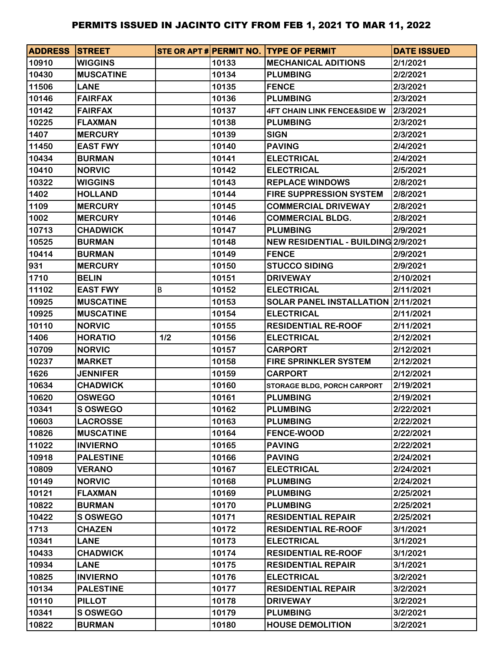| <b>ADDRESS STREET</b> |                  |     |       | STE OR APT # PERMIT NO. TYPE OF PERMIT | <b>DATE ISSUED</b> |
|-----------------------|------------------|-----|-------|----------------------------------------|--------------------|
| 10910                 | <b>WIGGINS</b>   |     | 10133 | <b>MECHANICAL ADITIONS</b>             | 2/1/2021           |
| 10430                 | <b>MUSCATINE</b> |     | 10134 | <b>PLUMBING</b>                        | 2/2/2021           |
| 11506                 | <b>LANE</b>      |     | 10135 | <b>FENCE</b>                           | 2/3/2021           |
| 10146                 | <b>FAIRFAX</b>   |     | 10136 | <b>PLUMBING</b>                        | 2/3/2021           |
| 10142                 | <b>FAIRFAX</b>   |     | 10137 | <b>4FT CHAIN LINK FENCE&amp;SIDE W</b> | 2/3/2021           |
| 10225                 | <b>FLAXMAN</b>   |     | 10138 | <b>PLUMBING</b>                        | 2/3/2021           |
| 1407                  | <b>MERCURY</b>   |     | 10139 | <b>SIGN</b>                            | 2/3/2021           |
| 11450                 | <b>EAST FWY</b>  |     | 10140 | <b>PAVING</b>                          | 2/4/2021           |
| 10434                 | <b>BURMAN</b>    |     | 10141 | <b>ELECTRICAL</b>                      | 2/4/2021           |
| 10410                 | <b>NORVIC</b>    |     | 10142 | <b>ELECTRICAL</b>                      | 2/5/2021           |
| 10322                 | <b>WIGGINS</b>   |     | 10143 | <b>REPLACE WINDOWS</b>                 | 2/8/2021           |
| 1402                  | <b>HOLLAND</b>   |     | 10144 | <b>FIRE SUPPRESSION SYSTEM</b>         | 2/8/2021           |
| 1109                  | <b>MERCURY</b>   |     | 10145 | <b>COMMERCIAL DRIVEWAY</b>             | 2/8/2021           |
| 1002                  | <b>MERCURY</b>   |     | 10146 | <b>COMMERCIAL BLDG.</b>                | 2/8/2021           |
| 10713                 | <b>CHADWICK</b>  |     | 10147 | <b>PLUMBING</b>                        | 2/9/2021           |
| 10525                 | <b>BURMAN</b>    |     | 10148 | NEW RESIDENTIAL - BUILDING 2/9/2021    |                    |
| 10414                 | <b>BURMAN</b>    |     | 10149 | <b>FENCE</b>                           | 2/9/2021           |
| 931                   | <b>MERCURY</b>   |     | 10150 | <b>STUCCO SIDING</b>                   | 2/9/2021           |
| 1710                  | <b>BELIN</b>     |     | 10151 | <b>DRIVEWAY</b>                        | 2/10/2021          |
| 11102                 | <b>EAST FWY</b>  | В   | 10152 | <b>ELECTRICAL</b>                      | 2/11/2021          |
| 10925                 | <b>MUSCATINE</b> |     | 10153 | SOLAR PANEL INSTALLATION 2/11/2021     |                    |
| 10925                 | <b>MUSCATINE</b> |     | 10154 | <b>ELECTRICAL</b>                      | 2/11/2021          |
| 10110                 | <b>NORVIC</b>    |     | 10155 | <b>RESIDENTIAL RE-ROOF</b>             | 2/11/2021          |
| 1406                  | <b>HORATIO</b>   | 1/2 | 10156 | <b>ELECTRICAL</b>                      | 2/12/2021          |
| 10709                 | <b>NORVIC</b>    |     | 10157 | <b>CARPORT</b>                         | 2/12/2021          |
| 10237                 | <b>MARKET</b>    |     | 10158 | <b>FIRE SPRINKLER SYSTEM</b>           | 2/12/2021          |
| 1626                  | <b>JENNIFER</b>  |     | 10159 | <b>CARPORT</b>                         | 2/12/2021          |
| 10634                 | <b>CHADWICK</b>  |     | 10160 | STORAGE BLDG, PORCH CARPORT            | 2/19/2021          |
| 10620                 | <b>OSWEGO</b>    |     | 10161 | <b>PLUMBING</b>                        | 2/19/2021          |
| 10341                 | <b>S OSWEGO</b>  |     | 10162 | <b>PLUMBING</b>                        | 2/22/2021          |
| 10603                 | <b>LACROSSE</b>  |     | 10163 | <b>PLUMBING</b>                        | 2/22/2021          |
| 10826                 | <b>MUSCATINE</b> |     | 10164 | <b>FENCE-WOOD</b>                      | 2/22/2021          |
| 11022                 | <b>INVIERNO</b>  |     | 10165 | <b>PAVING</b>                          | 2/22/2021          |
| 10918                 | <b>PALESTINE</b> |     | 10166 | <b>PAVING</b>                          | 2/24/2021          |
| 10809                 | <b>VERANO</b>    |     | 10167 | <b>ELECTRICAL</b>                      | 2/24/2021          |
| 10149                 | <b>NORVIC</b>    |     | 10168 | <b>PLUMBING</b>                        | 2/24/2021          |
| 10121                 | <b>FLAXMAN</b>   |     | 10169 | <b>PLUMBING</b>                        | 2/25/2021          |
| 10822                 | <b>BURMAN</b>    |     | 10170 | <b>PLUMBING</b>                        | 2/25/2021          |
| 10422                 | <b>S OSWEGO</b>  |     | 10171 | <b>RESIDENTIAL REPAIR</b>              | 2/25/2021          |
| 1713                  | <b>CHAZEN</b>    |     | 10172 | <b>RESIDENTIAL RE-ROOF</b>             | 3/1/2021           |
| 10341                 | <b>LANE</b>      |     | 10173 | <b>ELECTRICAL</b>                      | 3/1/2021           |
| 10433                 | <b>CHADWICK</b>  |     | 10174 | <b>RESIDENTIAL RE-ROOF</b>             | 3/1/2021           |
| 10934                 | <b>LANE</b>      |     | 10175 | <b>RESIDENTIAL REPAIR</b>              | 3/1/2021           |
| 10825                 | <b>INVIERNO</b>  |     | 10176 | <b>ELECTRICAL</b>                      | 3/2/2021           |
| 10134                 | <b>PALESTINE</b> |     | 10177 | <b>RESIDENTIAL REPAIR</b>              | 3/2/2021           |
| 10110                 | <b>PILLOT</b>    |     | 10178 | <b>DRIVEWAY</b>                        | 3/2/2021           |
| 10341                 | <b>S OSWEGO</b>  |     | 10179 | <b>PLUMBING</b>                        | 3/2/2021           |
| 10822                 | <b>BURMAN</b>    |     | 10180 | <b>HOUSE DEMOLITION</b>                | 3/2/2021           |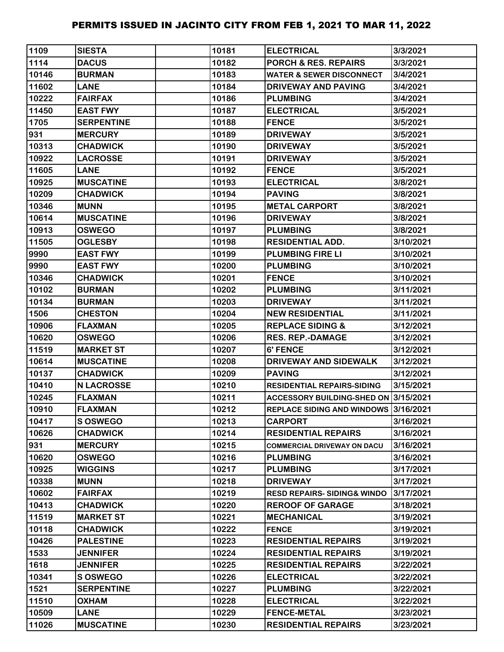| 1109  | <b>SIESTA</b>     | 10181 | <b>ELECTRICAL</b>                     | 3/3/2021  |
|-------|-------------------|-------|---------------------------------------|-----------|
| 1114  | <b>DACUS</b>      | 10182 | <b>PORCH &amp; RES. REPAIRS</b>       | 3/3/2021  |
| 10146 | <b>BURMAN</b>     | 10183 | <b>WATER &amp; SEWER DISCONNECT</b>   | 3/4/2021  |
| 11602 | <b>LANE</b>       | 10184 | <b>DRIVEWAY AND PAVING</b>            | 3/4/2021  |
| 10222 | <b>FAIRFAX</b>    | 10186 | <b>PLUMBING</b>                       | 3/4/2021  |
| 11450 | <b>EAST FWY</b>   | 10187 | <b>ELECTRICAL</b>                     | 3/5/2021  |
| 1705  | <b>SERPENTINE</b> | 10188 | <b>FENCE</b>                          | 3/5/2021  |
| 931   | <b>MERCURY</b>    | 10189 | <b>DRIVEWAY</b>                       | 3/5/2021  |
| 10313 | <b>CHADWICK</b>   | 10190 | <b>DRIVEWAY</b>                       | 3/5/2021  |
| 10922 | <b>LACROSSE</b>   | 10191 | <b>DRIVEWAY</b>                       | 3/5/2021  |
| 11605 | <b>LANE</b>       | 10192 | <b>FENCE</b>                          | 3/5/2021  |
| 10925 | <b>MUSCATINE</b>  | 10193 | <b>ELECTRICAL</b>                     | 3/8/2021  |
| 10209 | <b>CHADWICK</b>   | 10194 | <b>PAVING</b>                         | 3/8/2021  |
| 10346 | <b>MUNN</b>       | 10195 | <b>METAL CARPORT</b>                  | 3/8/2021  |
| 10614 | <b>MUSCATINE</b>  | 10196 | <b>DRIVEWAY</b>                       | 3/8/2021  |
| 10913 | <b>OSWEGO</b>     | 10197 | <b>PLUMBING</b>                       | 3/8/2021  |
| 11505 | <b>OGLESBY</b>    | 10198 | <b>RESIDENTIAL ADD.</b>               | 3/10/2021 |
| 9990  | <b>EAST FWY</b>   | 10199 | <b>PLUMBING FIRE LI</b>               | 3/10/2021 |
| 9990  | <b>EAST FWY</b>   | 10200 | <b>PLUMBING</b>                       | 3/10/2021 |
| 10346 | <b>CHADWICK</b>   | 10201 | <b>FENCE</b>                          | 3/10/2021 |
| 10102 | <b>BURMAN</b>     | 10202 | <b>PLUMBING</b>                       | 3/11/2021 |
| 10134 | <b>BURMAN</b>     | 10203 | <b>DRIVEWAY</b>                       | 3/11/2021 |
| 1506  | <b>CHESTON</b>    | 10204 | <b>NEW RESIDENTIAL</b>                | 3/11/2021 |
| 10906 | <b>FLAXMAN</b>    | 10205 | <b>REPLACE SIDING &amp;</b>           | 3/12/2021 |
| 10620 | <b>OSWEGO</b>     | 10206 | <b>RES. REP.-DAMAGE</b>               | 3/12/2021 |
| 11519 | <b>MARKET ST</b>  | 10207 | 6' FENCE                              | 3/12/2021 |
| 10614 | <b>MUSCATINE</b>  | 10208 | DRIVEWAY AND SIDEWALK                 | 3/12/2021 |
| 10137 | <b>CHADWICK</b>   | 10209 | <b>PAVING</b>                         | 3/12/2021 |
| 10410 | <b>N LACROSSE</b> | 10210 | <b>RESIDENTIAL REPAIRS-SIDING</b>     | 3/15/2021 |
| 10245 | <b>FLAXMAN</b>    | 10211 | ACCESSORY BUILDING-SHED ON 3/15/2021  |           |
| 10910 | <b>FLAXMAN</b>    | 10212 | REPLACE SIDING AND WINDOWS 3/16/2021  |           |
| 10417 | <b>S OSWEGO</b>   | 10213 | <b>CARPORT</b>                        | 3/16/2021 |
| 10626 | <b>CHADWICK</b>   | 10214 | <b>RESIDENTIAL REPAIRS</b>            | 3/16/2021 |
| 931   | <b>MERCURY</b>    | 10215 | <b>COMMERCIAL DRIVEWAY ON DACU</b>    | 3/16/2021 |
| 10620 | <b>OSWEGO</b>     | 10216 | <b>PLUMBING</b>                       | 3/16/2021 |
| 10925 | <b>WIGGINS</b>    | 10217 | <b>PLUMBING</b>                       | 3/17/2021 |
| 10338 | <b>MUNN</b>       | 10218 | <b>DRIVEWAY</b>                       | 3/17/2021 |
| 10602 | <b>FAIRFAX</b>    | 10219 | <b>RESD REPAIRS-SIDING&amp; WINDO</b> | 3/17/2021 |
| 10413 | <b>CHADWICK</b>   | 10220 | <b>REROOF OF GARAGE</b>               | 3/18/2021 |
| 11519 | <b>MARKET ST</b>  | 10221 | <b>MECHANICAL</b>                     | 3/19/2021 |
| 10118 | <b>CHADWICK</b>   | 10222 | <b>FENCE</b>                          | 3/19/2021 |
| 10426 | <b>PALESTINE</b>  | 10223 | <b>RESIDENTIAL REPAIRS</b>            | 3/19/2021 |
| 1533  | <b>JENNIFER</b>   | 10224 | <b>RESIDENTIAL REPAIRS</b>            | 3/19/2021 |
| 1618  | <b>JENNIFER</b>   | 10225 | <b>RESIDENTIAL REPAIRS</b>            | 3/22/2021 |
| 10341 | S OSWEGO          | 10226 | <b>ELECTRICAL</b>                     | 3/22/2021 |
| 1521  | <b>SERPENTINE</b> | 10227 | <b>PLUMBING</b>                       | 3/22/2021 |
| 11510 | <b>OXHAM</b>      | 10228 | <b>ELECTRICAL</b>                     | 3/22/2021 |
| 10509 | <b>LANE</b>       | 10229 | <b>FENCE-METAL</b>                    | 3/23/2021 |
| 11026 | <b>MUSCATINE</b>  | 10230 | <b>RESIDENTIAL REPAIRS</b>            | 3/23/2021 |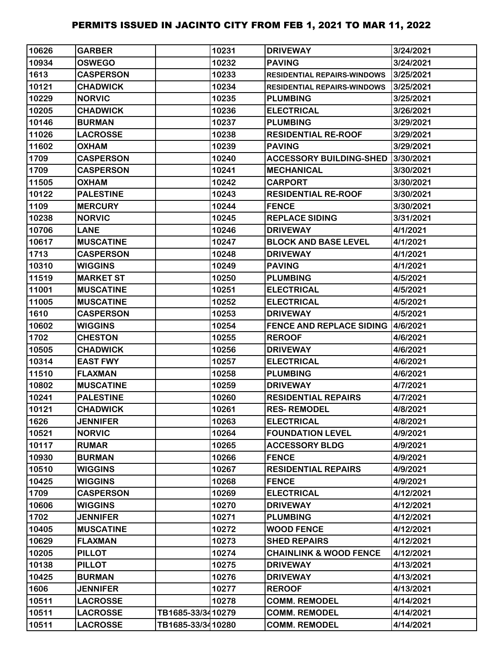| 10626 | <b>GARBER</b>    |                   | 10231 | <b>DRIVEWAY</b>                    | 3/24/2021 |
|-------|------------------|-------------------|-------|------------------------------------|-----------|
| 10934 | <b>OSWEGO</b>    |                   | 10232 | <b>PAVING</b>                      | 3/24/2021 |
| 1613  | <b>CASPERSON</b> |                   | 10233 | <b>RESIDENTIAL REPAIRS-WINDOWS</b> | 3/25/2021 |
| 10121 | <b>CHADWICK</b>  |                   | 10234 | <b>RESIDENTIAL REPAIRS-WINDOWS</b> | 3/25/2021 |
| 10229 | <b>NORVIC</b>    |                   | 10235 | <b>PLUMBING</b>                    | 3/25/2021 |
| 10205 | <b>CHADWICK</b>  |                   | 10236 | <b>ELECTRICAL</b>                  | 3/26/2021 |
| 10146 | <b>BURMAN</b>    |                   | 10237 | <b>PLUMBING</b>                    | 3/29/2021 |
| 11026 | <b>LACROSSE</b>  |                   | 10238 | <b>RESIDENTIAL RE-ROOF</b>         | 3/29/2021 |
| 11602 | <b>OXHAM</b>     |                   | 10239 | <b>PAVING</b>                      | 3/29/2021 |
| 1709  | <b>CASPERSON</b> |                   | 10240 | <b>ACCESSORY BUILDING-SHED</b>     | 3/30/2021 |
| 1709  | <b>CASPERSON</b> |                   | 10241 | <b>MECHANICAL</b>                  | 3/30/2021 |
| 11505 | <b>OXHAM</b>     |                   | 10242 | <b>CARPORT</b>                     | 3/30/2021 |
| 10122 | <b>PALESTINE</b> |                   | 10243 | <b>RESIDENTIAL RE-ROOF</b>         | 3/30/2021 |
| 1109  | <b>MERCURY</b>   |                   | 10244 | <b>FENCE</b>                       | 3/30/2021 |
| 10238 | <b>NORVIC</b>    |                   | 10245 | <b>REPLACE SIDING</b>              | 3/31/2021 |
| 10706 | <b>LANE</b>      |                   | 10246 | <b>DRIVEWAY</b>                    | 4/1/2021  |
| 10617 | <b>MUSCATINE</b> |                   | 10247 | <b>BLOCK AND BASE LEVEL</b>        | 4/1/2021  |
| 1713  | <b>CASPERSON</b> |                   | 10248 | <b>DRIVEWAY</b>                    | 4/1/2021  |
| 10310 | <b>WIGGINS</b>   |                   | 10249 | <b>PAVING</b>                      | 4/1/2021  |
| 11519 | <b>MARKET ST</b> |                   | 10250 | <b>PLUMBING</b>                    | 4/5/2021  |
| 11001 | <b>MUSCATINE</b> |                   | 10251 | <b>ELECTRICAL</b>                  | 4/5/2021  |
| 11005 | <b>MUSCATINE</b> |                   | 10252 | <b>ELECTRICAL</b>                  | 4/5/2021  |
| 1610  | <b>CASPERSON</b> |                   | 10253 | <b>DRIVEWAY</b>                    | 4/5/2021  |
| 10602 | <b>WIGGINS</b>   |                   | 10254 | <b>FENCE AND REPLACE SIDING</b>    | 4/6/2021  |
| 1702  | <b>CHESTON</b>   |                   | 10255 | <b>REROOF</b>                      | 4/6/2021  |
| 10505 | <b>CHADWICK</b>  |                   | 10256 | <b>DRIVEWAY</b>                    | 4/6/2021  |
| 10314 | <b>EAST FWY</b>  |                   | 10257 | <b>ELECTRICAL</b>                  | 4/6/2021  |
| 11510 | <b>FLAXMAN</b>   |                   | 10258 | <b>PLUMBING</b>                    | 4/6/2021  |
| 10802 | <b>MUSCATINE</b> |                   | 10259 | <b>DRIVEWAY</b>                    | 4/7/2021  |
| 10241 | <b>PALESTINE</b> |                   | 10260 | <b>RESIDENTIAL REPAIRS</b>         | 4/7/2021  |
| 10121 | <b>CHADWICK</b>  |                   | 10261 | <b>RES-REMODEL</b>                 | 4/8/2021  |
| 1626  | <b>JENNIFER</b>  |                   | 10263 | <b>ELECTRICAL</b>                  | 4/8/2021  |
| 10521 | <b>NORVIC</b>    |                   | 10264 | <b>FOUNDATION LEVEL</b>            | 4/9/2021  |
| 10117 | <b>RUMAR</b>     |                   | 10265 | <b>ACCESSORY BLDG</b>              | 4/9/2021  |
| 10930 | <b>BURMAN</b>    |                   | 10266 | <b>FENCE</b>                       | 4/9/2021  |
| 10510 | <b>WIGGINS</b>   |                   | 10267 | <b>RESIDENTIAL REPAIRS</b>         | 4/9/2021  |
| 10425 | <b>WIGGINS</b>   |                   | 10268 | <b>FENCE</b>                       | 4/9/2021  |
| 1709  | <b>CASPERSON</b> |                   | 10269 | <b>ELECTRICAL</b>                  | 4/12/2021 |
| 10606 | <b>WIGGINS</b>   |                   | 10270 | <b>DRIVEWAY</b>                    | 4/12/2021 |
| 1702  | <b>JENNIFER</b>  |                   | 10271 | <b>PLUMBING</b>                    | 4/12/2021 |
| 10405 | <b>MUSCATINE</b> |                   | 10272 | <b>WOOD FENCE</b>                  | 4/12/2021 |
| 10629 | <b>FLAXMAN</b>   |                   | 10273 | <b>SHED REPAIRS</b>                | 4/12/2021 |
| 10205 | <b>PILLOT</b>    |                   | 10274 | <b>CHAINLINK &amp; WOOD FENCE</b>  | 4/12/2021 |
| 10138 | <b>PILLOT</b>    |                   | 10275 | <b>DRIVEWAY</b>                    | 4/13/2021 |
| 10425 | <b>BURMAN</b>    |                   | 10276 | <b>DRIVEWAY</b>                    | 4/13/2021 |
| 1606  | <b>JENNIFER</b>  |                   | 10277 | <b>REROOF</b>                      | 4/13/2021 |
| 10511 | <b>LACROSSE</b>  |                   | 10278 | <b>COMM. REMODEL</b>               | 4/14/2021 |
| 10511 | <b>LACROSSE</b>  | TB1685-33/3410279 |       | <b>COMM. REMODEL</b>               | 4/14/2021 |
| 10511 | <b>LACROSSE</b>  | TB1685-33/3410280 |       | <b>COMM. REMODEL</b>               | 4/14/2021 |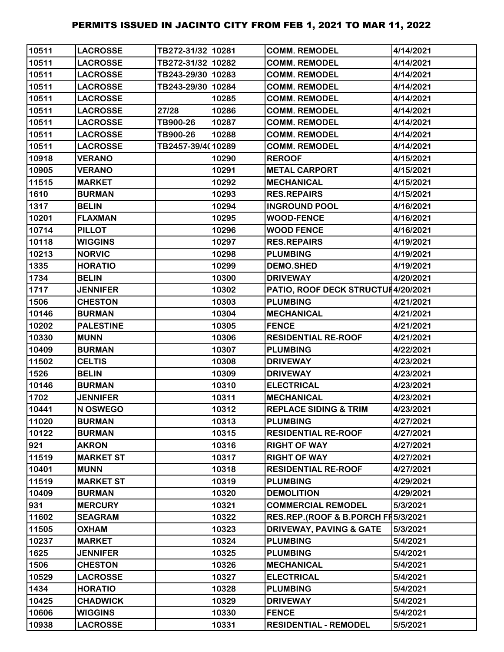| 10511 | <b>LACROSSE</b>  | TB272-31/32 10281 |       | <b>COMM. REMODEL</b>                | 4/14/2021 |
|-------|------------------|-------------------|-------|-------------------------------------|-----------|
| 10511 | <b>LACROSSE</b>  | TB272-31/32 10282 |       | <b>COMM. REMODEL</b>                | 4/14/2021 |
| 10511 | <b>LACROSSE</b>  | TB243-29/30 10283 |       | <b>COMM. REMODEL</b>                | 4/14/2021 |
| 10511 | <b>LACROSSE</b>  | TB243-29/30 10284 |       | <b>COMM. REMODEL</b>                | 4/14/2021 |
| 10511 | <b>LACROSSE</b>  |                   | 10285 | <b>COMM. REMODEL</b>                | 4/14/2021 |
| 10511 | <b>LACROSSE</b>  | 27/28             | 10286 | <b>COMM. REMODEL</b>                | 4/14/2021 |
| 10511 | <b>LACROSSE</b>  | TB900-26          | 10287 | <b>COMM. REMODEL</b>                | 4/14/2021 |
| 10511 | <b>LACROSSE</b>  | TB900-26          | 10288 | <b>COMM. REMODEL</b>                | 4/14/2021 |
| 10511 | <b>LACROSSE</b>  | TB2457-39/4010289 |       | <b>COMM. REMODEL</b>                | 4/14/2021 |
| 10918 | <b>VERANO</b>    |                   | 10290 | <b>REROOF</b>                       | 4/15/2021 |
| 10905 | <b>VERANO</b>    |                   | 10291 | <b>METAL CARPORT</b>                | 4/15/2021 |
| 11515 | <b>MARKET</b>    |                   | 10292 | <b>MECHANICAL</b>                   | 4/15/2021 |
| 1610  | <b>BURMAN</b>    |                   | 10293 | <b>RES.REPAIRS</b>                  | 4/15/2021 |
| 1317  | <b>BELIN</b>     |                   | 10294 | <b>INGROUND POOL</b>                | 4/16/2021 |
| 10201 | <b>FLAXMAN</b>   |                   | 10295 | <b>WOOD-FENCE</b>                   | 4/16/2021 |
| 10714 | <b>PILLOT</b>    |                   | 10296 | <b>WOOD FENCE</b>                   | 4/16/2021 |
| 10118 | <b>WIGGINS</b>   |                   | 10297 | <b>RES.REPAIRS</b>                  | 4/19/2021 |
| 10213 | <b>NORVIC</b>    |                   | 10298 | <b>PLUMBING</b>                     | 4/19/2021 |
| 1335  | <b>HORATIO</b>   |                   | 10299 | <b>DEMO.SHED</b>                    | 4/19/2021 |
| 1734  | <b>BELIN</b>     |                   | 10300 | <b>DRIVEWAY</b>                     | 4/20/2021 |
| 1717  | <b>JENNIFER</b>  |                   | 10302 | PATIO, ROOF DECK STRUCTUI 4/20/2021 |           |
| 1506  | <b>CHESTON</b>   |                   | 10303 | <b>PLUMBING</b>                     | 4/21/2021 |
| 10146 | <b>BURMAN</b>    |                   | 10304 | <b>MECHANICAL</b>                   | 4/21/2021 |
| 10202 | <b>PALESTINE</b> |                   | 10305 | <b>FENCE</b>                        | 4/21/2021 |
| 10330 | <b>MUNN</b>      |                   | 10306 | <b>RESIDENTIAL RE-ROOF</b>          | 4/21/2021 |
| 10409 | <b>BURMAN</b>    |                   | 10307 | <b>PLUMBING</b>                     | 4/22/2021 |
| 11502 | <b>CELTIS</b>    |                   | 10308 | <b>DRIVEWAY</b>                     | 4/23/2021 |
| 1526  | <b>BELIN</b>     |                   | 10309 | <b>DRIVEWAY</b>                     | 4/23/2021 |
| 10146 | <b>BURMAN</b>    |                   | 10310 | <b>ELECTRICAL</b>                   | 4/23/2021 |
| 1702  | <b>JENNIFER</b>  |                   | 10311 | <b>MECHANICAL</b>                   | 4/23/2021 |
| 10441 | N OSWEGO         |                   | 10312 | <b>REPLACE SIDING &amp; TRIM</b>    | 4/23/2021 |
| 11020 | <b>BURMAN</b>    |                   | 10313 | <b>PLUMBING</b>                     | 4/27/2021 |
| 10122 | <b>BURMAN</b>    |                   | 10315 | <b>RESIDENTIAL RE-ROOF</b>          | 4/27/2021 |
| 921   | <b>AKRON</b>     |                   | 10316 | <b>RIGHT OF WAY</b>                 | 4/27/2021 |
| 11519 | <b>MARKET ST</b> |                   | 10317 | <b>RIGHT OF WAY</b>                 | 4/27/2021 |
| 10401 | <b>MUNN</b>      |                   | 10318 | <b>RESIDENTIAL RE-ROOF</b>          | 4/27/2021 |
| 11519 | <b>MARKET ST</b> |                   | 10319 | <b>PLUMBING</b>                     | 4/29/2021 |
| 10409 | <b>BURMAN</b>    |                   | 10320 | <b>DEMOLITION</b>                   | 4/29/2021 |
| 931   | <b>MERCURY</b>   |                   | 10321 | <b>COMMERCIAL REMODEL</b>           | 5/3/2021  |
| 11602 | <b>SEAGRAM</b>   |                   | 10322 | RES.REP.(ROOF & B.PORCH FI5/3/2021  |           |
| 11505 | <b>OXHAM</b>     |                   | 10323 | <b>DRIVEWAY, PAVING &amp; GATE</b>  | 5/3/2021  |
| 10237 | <b>MARKET</b>    |                   | 10324 | <b>PLUMBING</b>                     | 5/4/2021  |
| 1625  | <b>JENNIFER</b>  |                   | 10325 | <b>PLUMBING</b>                     | 5/4/2021  |
| 1506  | <b>CHESTON</b>   |                   | 10326 | <b>MECHANICAL</b>                   | 5/4/2021  |
| 10529 | <b>LACROSSE</b>  |                   | 10327 | <b>ELECTRICAL</b>                   | 5/4/2021  |
| 1434  | <b>HORATIO</b>   |                   | 10328 | <b>PLUMBING</b>                     | 5/4/2021  |
| 10425 | <b>CHADWICK</b>  |                   | 10329 | <b>DRIVEWAY</b>                     | 5/4/2021  |
| 10606 | <b>WIGGINS</b>   |                   | 10330 | <b>FENCE</b>                        | 5/4/2021  |
| 10938 | <b>LACROSSE</b>  |                   | 10331 | <b>RESIDENTIAL - REMODEL</b>        | 5/5/2021  |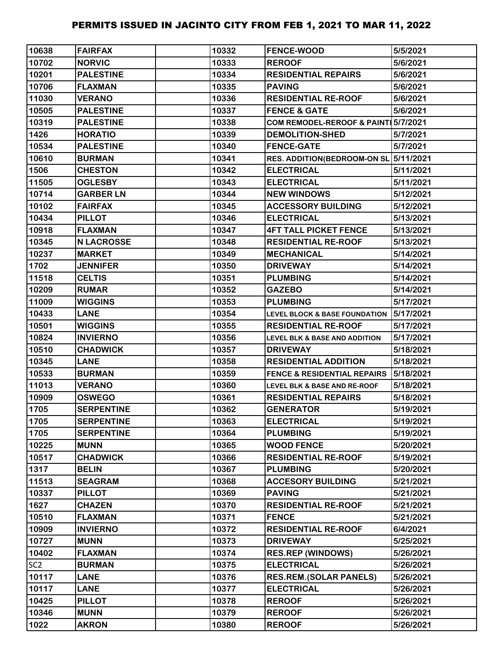| 10638           | <b>FAIRFAX</b>    | 10332 | <b>FENCE-WOOD</b>                        | 5/5/2021  |
|-----------------|-------------------|-------|------------------------------------------|-----------|
| 10702           | <b>NORVIC</b>     | 10333 | <b>REROOF</b>                            | 5/6/2021  |
| 10201           | <b>PALESTINE</b>  | 10334 | <b>RESIDENTIAL REPAIRS</b>               | 5/6/2021  |
| 10706           | <b>FLAXMAN</b>    | 10335 | <b>PAVING</b>                            | 5/6/2021  |
| 11030           | <b>VERANO</b>     | 10336 | <b>RESIDENTIAL RE-ROOF</b>               | 5/6/2021  |
| 10505           | <b>PALESTINE</b>  | 10337 | <b>FENCE &amp; GATE</b>                  | 5/6/2021  |
| 10319           | <b>PALESTINE</b>  | 10338 | COM REMODEL-REROOF & PAINT 5/7/2021      |           |
| 1426            | <b>HORATIO</b>    | 10339 | <b>DEMOLITION-SHED</b>                   | 5/7/2021  |
| 10534           | <b>PALESTINE</b>  | 10340 | <b>FENCE-GATE</b>                        | 5/7/2021  |
| 10610           | <b>BURMAN</b>     | 10341 | RES. ADDITION(BEDROOM-ON SL 5/11/2021    |           |
| 1506            | <b>CHESTON</b>    | 10342 | <b>ELECTRICAL</b>                        | 5/11/2021 |
| 11505           | <b>OGLESBY</b>    | 10343 | <b>ELECTRICAL</b>                        | 5/11/2021 |
| 10714           | <b>GARBER LN</b>  | 10344 | <b>NEW WINDOWS</b>                       | 5/12/2021 |
| 10102           | <b>FAIRFAX</b>    | 10345 | <b>ACCESSORY BUILDING</b>                | 5/12/2021 |
| 10434           | <b>PILLOT</b>     | 10346 | <b>ELECTRICAL</b>                        | 5/13/2021 |
| 10918           | <b>FLAXMAN</b>    | 10347 | <b>4FT TALL PICKET FENCE</b>             | 5/13/2021 |
| 10345           | <b>N LACROSSE</b> | 10348 | <b>RESIDENTIAL RE-ROOF</b>               | 5/13/2021 |
| 10237           | <b>MARKET</b>     | 10349 | <b>MECHANICAL</b>                        | 5/14/2021 |
| 1702            | <b>JENNIFER</b>   | 10350 | <b>DRIVEWAY</b>                          | 5/14/2021 |
| 11518           | <b>CELTIS</b>     | 10351 | <b>PLUMBING</b>                          | 5/14/2021 |
| 10209           | <b>RUMAR</b>      | 10352 | <b>GAZEBO</b>                            | 5/14/2021 |
| 11009           | <b>WIGGINS</b>    | 10353 | <b>PLUMBING</b>                          | 5/17/2021 |
| 10433           | <b>LANE</b>       | 10354 | <b>LEVEL BLOCK &amp; BASE FOUNDATION</b> | 5/17/2021 |
| 10501           | <b>WIGGINS</b>    | 10355 | <b>RESIDENTIAL RE-ROOF</b>               | 5/17/2021 |
| 10824           | <b>INVIERNO</b>   | 10356 | LEVEL BLK & BASE AND ADDITION            | 5/17/2021 |
| 10510           | <b>CHADWICK</b>   | 10357 | <b>DRIVEWAY</b>                          | 5/18/2021 |
| 10345           | <b>LANE</b>       | 10358 | <b>RESIDENTIAL ADDITION</b>              | 5/18/2021 |
| 10533           | <b>BURMAN</b>     | 10359 | <b>FENCE &amp; RESIDENTIAL REPAIRS</b>   | 5/18/2021 |
| 11013           | <b>VERANO</b>     | 10360 | LEVEL BLK & BASE AND RE-ROOF             | 5/18/2021 |
| 10909           | <b>OSWEGO</b>     | 10361 | <b>RESIDENTIAL REPAIRS</b>               | 5/18/2021 |
| 1705            | <b>SERPENTINE</b> | 10362 | <b>GENERATOR</b>                         | 5/19/2021 |
| 1705            | <b>SERPENTINE</b> | 10363 | <b>ELECTRICAL</b>                        | 5/19/2021 |
| 1705            | <b>SERPENTINE</b> | 10364 | <b>PLUMBING</b>                          | 5/19/2021 |
| 10225           | <b>MUNN</b>       | 10365 | <b>WOOD FENCE</b>                        | 5/20/2021 |
| 10517           | <b>CHADWICK</b>   | 10366 | <b>RESIDENTIAL RE-ROOF</b>               | 5/19/2021 |
| 1317            | <b>BELIN</b>      | 10367 | <b>PLUMBING</b>                          | 5/20/2021 |
| 11513           | <b>SEAGRAM</b>    | 10368 | <b>ACCESORY BUILDING</b>                 | 5/21/2021 |
| 10337           | <b>PILLOT</b>     | 10369 | <b>PAVING</b>                            | 5/21/2021 |
| 1627            | <b>CHAZEN</b>     | 10370 | <b>RESIDENTIAL RE-ROOF</b>               | 5/21/2021 |
| 10510           | <b>FLAXMAN</b>    | 10371 | <b>FENCE</b>                             | 5/21/2021 |
| 10909           | <b>INVIERNO</b>   | 10372 | <b>RESIDENTIAL RE-ROOF</b>               | 6/4/2021  |
| 10727           | <b>MUNN</b>       | 10373 | <b>DRIVEWAY</b>                          | 5/25/2021 |
| 10402           | <b>FLAXMAN</b>    | 10374 | <b>RES.REP (WINDOWS)</b>                 | 5/26/2021 |
| SC <sub>2</sub> | <b>BURMAN</b>     | 10375 | <b>ELECTRICAL</b>                        | 5/26/2021 |
| 10117           | <b>LANE</b>       | 10376 | <b>RES.REM.(SOLAR PANELS)</b>            | 5/26/2021 |
| 10117           | <b>LANE</b>       | 10377 | <b>ELECTRICAL</b>                        | 5/26/2021 |
| 10425           | <b>PILLOT</b>     | 10378 | <b>REROOF</b>                            | 5/26/2021 |
| 10346           | <b>MUNN</b>       | 10379 | <b>REROOF</b>                            | 5/26/2021 |
| 1022            | <b>AKRON</b>      | 10380 | <b>REROOF</b>                            | 5/26/2021 |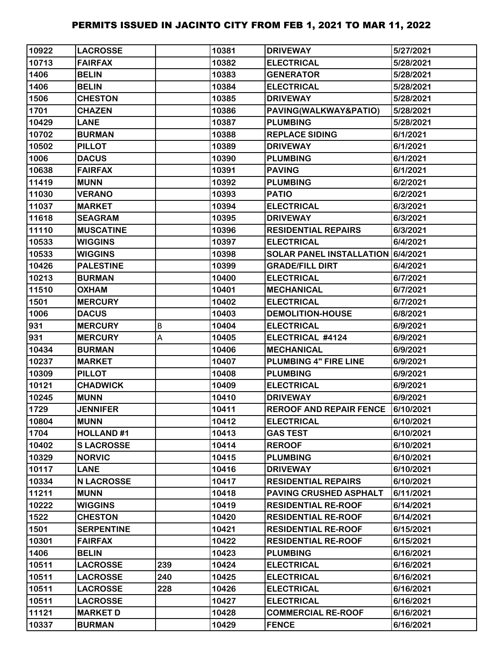| 10922 | <b>LACROSSE</b>   |     | 10381 | <b>DRIVEWAY</b>                   | 5/27/2021 |
|-------|-------------------|-----|-------|-----------------------------------|-----------|
| 10713 | <b>FAIRFAX</b>    |     | 10382 | <b>ELECTRICAL</b>                 | 5/28/2021 |
| 1406  | <b>BELIN</b>      |     | 10383 | <b>GENERATOR</b>                  | 5/28/2021 |
| 1406  | <b>BELIN</b>      |     | 10384 | <b>ELECTRICAL</b>                 | 5/28/2021 |
| 1506  | <b>CHESTON</b>    |     | 10385 | <b>DRIVEWAY</b>                   | 5/28/2021 |
| 1701  | <b>CHAZEN</b>     |     | 10386 | PAVING(WALKWAY&PATIO)             | 5/28/2021 |
| 10429 | <b>LANE</b>       |     | 10387 | <b>PLUMBING</b>                   | 5/28/2021 |
| 10702 | <b>BURMAN</b>     |     | 10388 | <b>REPLACE SIDING</b>             | 6/1/2021  |
| 10502 | <b>PILLOT</b>     |     | 10389 | <b>DRIVEWAY</b>                   | 6/1/2021  |
| 1006  | <b>DACUS</b>      |     | 10390 | <b>PLUMBING</b>                   | 6/1/2021  |
| 10638 | <b>FAIRFAX</b>    |     | 10391 | <b>PAVING</b>                     | 6/1/2021  |
| 11419 | <b>MUNN</b>       |     | 10392 | <b>PLUMBING</b>                   | 6/2/2021  |
| 11030 | <b>VERANO</b>     |     | 10393 | <b>PATIO</b>                      | 6/2/2021  |
| 11037 | <b>MARKET</b>     |     | 10394 | <b>ELECTRICAL</b>                 | 6/3/2021  |
| 11618 | <b>SEAGRAM</b>    |     | 10395 | <b>DRIVEWAY</b>                   | 6/3/2021  |
| 11110 | <b>MUSCATINE</b>  |     | 10396 | <b>RESIDENTIAL REPAIRS</b>        | 6/3/2021  |
| 10533 | <b>WIGGINS</b>    |     | 10397 | <b>ELECTRICAL</b>                 | 6/4/2021  |
| 10533 | <b>WIGGINS</b>    |     | 10398 | SOLAR PANEL INSTALLATION 6/4/2021 |           |
| 10426 | <b>PALESTINE</b>  |     | 10399 | <b>GRADE/FILL DIRT</b>            | 6/4/2021  |
| 10213 | <b>BURMAN</b>     |     | 10400 | <b>ELECTRICAL</b>                 | 6/7/2021  |
| 11510 | <b>OXHAM</b>      |     | 10401 | <b>MECHANICAL</b>                 | 6/7/2021  |
| 1501  | <b>MERCURY</b>    |     | 10402 | <b>ELECTRICAL</b>                 | 6/7/2021  |
| 1006  | <b>DACUS</b>      |     | 10403 | <b>DEMOLITION-HOUSE</b>           | 6/8/2021  |
| 931   | <b>MERCURY</b>    | B   | 10404 | <b>ELECTRICAL</b>                 | 6/9/2021  |
| 931   | <b>MERCURY</b>    | А   | 10405 | ELECTRICAL #4124                  | 6/9/2021  |
| 10434 | <b>BURMAN</b>     |     | 10406 | <b>MECHANICAL</b>                 | 6/9/2021  |
| 10237 | <b>MARKET</b>     |     | 10407 | PLUMBING 4" FIRE LINE             | 6/9/2021  |
| 10309 | <b>PILLOT</b>     |     | 10408 | <b>PLUMBING</b>                   | 6/9/2021  |
| 10121 | <b>CHADWICK</b>   |     | 10409 | <b>ELECTRICAL</b>                 | 6/9/2021  |
| 10245 | <b>MUNN</b>       |     | 10410 | <b>DRIVEWAY</b>                   | 6/9/2021  |
| 1729  | <b>JENNIFER</b>   |     | 10411 | <b>REROOF AND REPAIR FENCE</b>    | 6/10/2021 |
| 10804 | <b>MUNN</b>       |     | 10412 | <b>ELECTRICAL</b>                 | 6/10/2021 |
| 1704  | <b>HOLLAND#1</b>  |     | 10413 | <b>GAS TEST</b>                   | 6/10/2021 |
| 10402 | <b>SLACROSSE</b>  |     | 10414 | <b>REROOF</b>                     | 6/10/2021 |
| 10329 | <b>NORVIC</b>     |     | 10415 | <b>PLUMBING</b>                   | 6/10/2021 |
| 10117 | <b>LANE</b>       |     | 10416 | <b>DRIVEWAY</b>                   | 6/10/2021 |
| 10334 | <b>N LACROSSE</b> |     | 10417 | <b>RESIDENTIAL REPAIRS</b>        | 6/10/2021 |
| 11211 | <b>MUNN</b>       |     | 10418 | <b>PAVING CRUSHED ASPHALT</b>     | 6/11/2021 |
| 10222 | <b>WIGGINS</b>    |     | 10419 | <b>RESIDENTIAL RE-ROOF</b>        | 6/14/2021 |
| 1522  | <b>CHESTON</b>    |     | 10420 | <b>RESIDENTIAL RE-ROOF</b>        | 6/14/2021 |
| 1501  | <b>SERPENTINE</b> |     | 10421 | <b>RESIDENTIAL RE-ROOF</b>        | 6/15/2021 |
| 10301 | <b>FAIRFAX</b>    |     | 10422 | <b>RESIDENTIAL RE-ROOF</b>        | 6/15/2021 |
| 1406  | <b>BELIN</b>      |     | 10423 | <b>PLUMBING</b>                   | 6/16/2021 |
| 10511 | <b>LACROSSE</b>   | 239 | 10424 | <b>ELECTRICAL</b>                 | 6/16/2021 |
| 10511 | <b>LACROSSE</b>   | 240 | 10425 | <b>ELECTRICAL</b>                 | 6/16/2021 |
| 10511 | <b>LACROSSE</b>   | 228 | 10426 | <b>ELECTRICAL</b>                 | 6/16/2021 |
| 10511 | <b>LACROSSE</b>   |     | 10427 | <b>ELECTRICAL</b>                 | 6/16/2021 |
| 11121 | <b>MARKET D</b>   |     | 10428 | <b>COMMERCIAL RE-ROOF</b>         | 6/16/2021 |
| 10337 | <b>BURMAN</b>     |     | 10429 | <b>FENCE</b>                      | 6/16/2021 |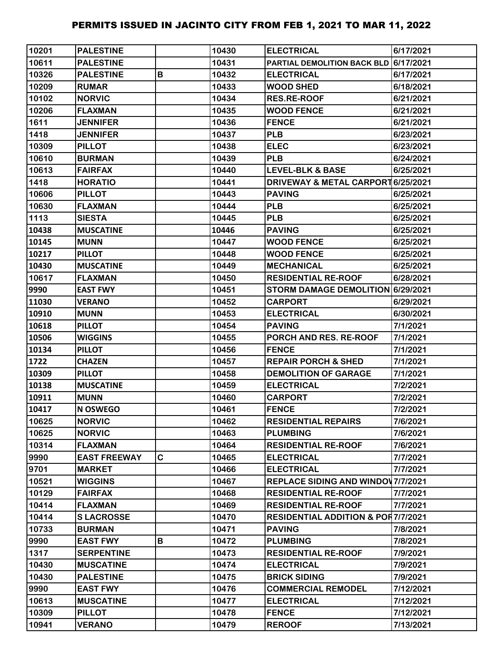| 10201 | <b>PALESTINE</b>    |             | 10430 | <b>ELECTRICAL</b>                             | 6/17/2021 |
|-------|---------------------|-------------|-------|-----------------------------------------------|-----------|
| 10611 | <b>PALESTINE</b>    |             | 10431 | PARTIAL DEMOLITION BACK BLD 6/17/2021         |           |
| 10326 | <b>PALESTINE</b>    | B           | 10432 | <b>ELECTRICAL</b>                             | 6/17/2021 |
| 10209 | <b>RUMAR</b>        |             | 10433 | <b>WOOD SHED</b>                              | 6/18/2021 |
| 10102 | <b>NORVIC</b>       |             | 10434 | <b>RES.RE-ROOF</b>                            | 6/21/2021 |
| 10206 | <b>FLAXMAN</b>      |             | 10435 | <b>WOOD FENCE</b>                             | 6/21/2021 |
| 1611  | <b>JENNIFER</b>     |             | 10436 | <b>FENCE</b>                                  | 6/21/2021 |
| 1418  | <b>JENNIFER</b>     |             | 10437 | <b>PLB</b>                                    | 6/23/2021 |
| 10309 | <b>PILLOT</b>       |             | 10438 | <b>ELEC</b>                                   | 6/23/2021 |
| 10610 | <b>BURMAN</b>       |             | 10439 | <b>PLB</b>                                    | 6/24/2021 |
| 10613 | <b>FAIRFAX</b>      |             | 10440 | <b>LEVEL-BLK &amp; BASE</b>                   | 6/25/2021 |
| 1418  | <b>HORATIO</b>      |             | 10441 | DRIVEWAY & METAL CARPORT 6/25/2021            |           |
| 10606 | <b>PILLOT</b>       |             | 10443 | <b>PAVING</b>                                 | 6/25/2021 |
| 10630 | <b>FLAXMAN</b>      |             | 10444 | <b>PLB</b>                                    | 6/25/2021 |
| 1113  | <b>SIESTA</b>       |             | 10445 | <b>PLB</b>                                    | 6/25/2021 |
| 10438 | <b>MUSCATINE</b>    |             | 10446 | <b>PAVING</b>                                 | 6/25/2021 |
| 10145 | <b>MUNN</b>         |             | 10447 | <b>WOOD FENCE</b>                             | 6/25/2021 |
| 10217 | <b>PILLOT</b>       |             | 10448 | <b>WOOD FENCE</b>                             | 6/25/2021 |
| 10430 | <b>MUSCATINE</b>    |             | 10449 | <b>MECHANICAL</b>                             | 6/25/2021 |
| 10617 | <b>FLAXMAN</b>      |             | 10450 | <b>RESIDENTIAL RE-ROOF</b>                    | 6/28/2021 |
| 9990  | <b>EAST FWY</b>     |             | 10451 | STORM DAMAGE DEMOLITION 6/29/2021             |           |
| 11030 | <b>VERANO</b>       |             | 10452 | <b>CARPORT</b>                                | 6/29/2021 |
| 10910 | <b>MUNN</b>         |             | 10453 | <b>ELECTRICAL</b>                             | 6/30/2021 |
| 10618 | <b>PILLOT</b>       |             | 10454 | <b>PAVING</b>                                 | 7/1/2021  |
| 10506 | <b>WIGGINS</b>      |             | 10455 | PORCH AND RES. RE-ROOF                        | 7/1/2021  |
| 10134 | <b>PILLOT</b>       |             | 10456 | <b>FENCE</b>                                  | 7/1/2021  |
| 1722  | <b>CHAZEN</b>       |             | 10457 | <b>REPAIR PORCH &amp; SHED</b>                | 7/1/2021  |
| 10309 | <b>PILLOT</b>       |             | 10458 | <b>DEMOLITION OF GARAGE</b>                   | 7/1/2021  |
| 10138 | <b>MUSCATINE</b>    |             | 10459 | <b>ELECTRICAL</b>                             | 7/2/2021  |
| 10911 | <b>MUNN</b>         |             | 10460 | <b>CARPORT</b>                                | 7/2/2021  |
| 10417 | N OSWEGO            |             | 10461 | <b>FENCE</b>                                  | 7/2/2021  |
| 10625 | <b>NORVIC</b>       |             | 10462 | <b>RESIDENTIAL REPAIRS</b>                    | 7/6/2021  |
| 10625 | <b>NORVIC</b>       |             | 10463 | <b>PLUMBING</b>                               | 7/6/2021  |
| 10314 | <b>FLAXMAN</b>      |             | 10464 | <b>RESIDENTIAL RE-ROOF</b>                    | 7/6/2021  |
| 9990  | <b>EAST FREEWAY</b> | $\mathbf C$ | 10465 | <b>ELECTRICAL</b>                             | 7/7/2021  |
| 9701  | <b>MARKET</b>       |             | 10466 | <b>ELECTRICAL</b>                             | 7/7/2021  |
| 10521 | <b>WIGGINS</b>      |             | 10467 | REPLACE SIDING AND WINDOW 7/7/2021            |           |
| 10129 | <b>FAIRFAX</b>      |             | 10468 | <b>RESIDENTIAL RE-ROOF</b>                    | 7/7/2021  |
| 10414 | <b>FLAXMAN</b>      |             | 10469 | <b>RESIDENTIAL RE-ROOF</b>                    | 7/7/2021  |
| 10414 | <b>SLACROSSE</b>    |             | 10470 | <b>RESIDENTIAL ADDITION &amp; POR7/7/2021</b> |           |
| 10733 | <b>BURMAN</b>       |             | 10471 | <b>PAVING</b>                                 | 7/8/2021  |
| 9990  | <b>EAST FWY</b>     | B           | 10472 | <b>PLUMBING</b>                               | 7/8/2021  |
| 1317  | <b>SERPENTINE</b>   |             | 10473 | <b>RESIDENTIAL RE-ROOF</b>                    | 7/9/2021  |
| 10430 | <b>MUSCATINE</b>    |             | 10474 | <b>ELECTRICAL</b>                             | 7/9/2021  |
| 10430 | <b>PALESTINE</b>    |             | 10475 | <b>BRICK SIDING</b>                           | 7/9/2021  |
| 9990  | <b>EAST FWY</b>     |             | 10476 | <b>COMMERCIAL REMODEL</b>                     | 7/12/2021 |
| 10613 | <b>MUSCATINE</b>    |             | 10477 | <b>ELECTRICAL</b>                             | 7/12/2021 |
| 10309 | <b>PILLOT</b>       |             | 10478 | <b>FENCE</b>                                  | 7/12/2021 |
| 10941 | <b>VERANO</b>       |             | 10479 | <b>REROOF</b>                                 | 7/13/2021 |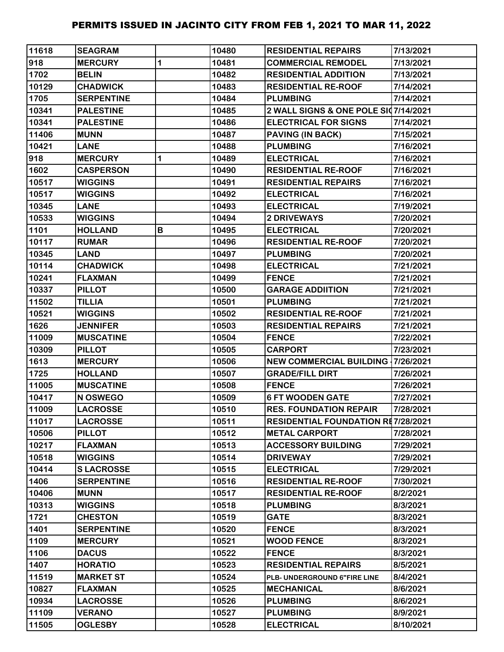| 11618 | <b>SEAGRAM</b>    |   | 10480 | <b>RESIDENTIAL REPAIRS</b>                | 7/13/2021 |
|-------|-------------------|---|-------|-------------------------------------------|-----------|
| 918   | <b>MERCURY</b>    | 1 | 10481 | <b>COMMERCIAL REMODEL</b>                 | 7/13/2021 |
| 1702  | <b>BELIN</b>      |   | 10482 | <b>RESIDENTIAL ADDITION</b>               | 7/13/2021 |
| 10129 | <b>CHADWICK</b>   |   | 10483 | <b>RESIDENTIAL RE-ROOF</b>                | 7/14/2021 |
| 1705  | <b>SERPENTINE</b> |   | 10484 | <b>PLUMBING</b>                           | 7/14/2021 |
| 10341 | <b>PALESTINE</b>  |   | 10485 | 2 WALL SIGNS & ONE POLE SI07/14/2021      |           |
| 10341 | <b>PALESTINE</b>  |   | 10486 | <b>ELECTRICAL FOR SIGNS</b>               | 7/14/2021 |
| 11406 | <b>MUNN</b>       |   | 10487 | PAVING (IN BACK)                          | 7/15/2021 |
| 10421 | <b>LANE</b>       |   | 10488 | <b>PLUMBING</b>                           | 7/16/2021 |
| 918   | <b>MERCURY</b>    | 1 | 10489 | <b>ELECTRICAL</b>                         | 7/16/2021 |
| 1602  | <b>CASPERSON</b>  |   | 10490 | <b>RESIDENTIAL RE-ROOF</b>                | 7/16/2021 |
| 10517 | <b>WIGGINS</b>    |   | 10491 | <b>RESIDENTIAL REPAIRS</b>                | 7/16/2021 |
| 10517 | <b>WIGGINS</b>    |   | 10492 | <b>ELECTRICAL</b>                         | 7/16/2021 |
| 10345 | <b>LANE</b>       |   | 10493 | <b>ELECTRICAL</b>                         | 7/19/2021 |
| 10533 | <b>WIGGINS</b>    |   | 10494 | 2 DRIVEWAYS                               | 7/20/2021 |
| 1101  | <b>HOLLAND</b>    | В | 10495 | <b>ELECTRICAL</b>                         | 7/20/2021 |
| 10117 | <b>RUMAR</b>      |   | 10496 | <b>RESIDENTIAL RE-ROOF</b>                | 7/20/2021 |
| 10345 | <b>LAND</b>       |   | 10497 | <b>PLUMBING</b>                           | 7/20/2021 |
| 10114 | <b>CHADWICK</b>   |   | 10498 | <b>ELECTRICAL</b>                         | 7/21/2021 |
| 10241 | <b>FLAXMAN</b>    |   | 10499 | <b>FENCE</b>                              | 7/21/2021 |
| 10337 | <b>PILLOT</b>     |   | 10500 | <b>GARAGE ADDIITION</b>                   | 7/21/2021 |
| 11502 | <b>TILLIA</b>     |   | 10501 | <b>PLUMBING</b>                           | 7/21/2021 |
| 10521 | <b>WIGGINS</b>    |   | 10502 | <b>RESIDENTIAL RE-ROOF</b>                | 7/21/2021 |
| 1626  | <b>JENNIFER</b>   |   | 10503 | <b>RESIDENTIAL REPAIRS</b>                | 7/21/2021 |
| 11009 | <b>MUSCATINE</b>  |   | 10504 | <b>FENCE</b>                              | 7/22/2021 |
| 10309 | <b>PILLOT</b>     |   | 10505 | <b>CARPORT</b>                            | 7/23/2021 |
| 1613  | <b>MERCURY</b>    |   | 10506 | <b>NEW COMMERCIAL BUILDING 17/26/2021</b> |           |
| 1725  | <b>HOLLAND</b>    |   | 10507 | <b>GRADE/FILL DIRT</b>                    | 7/26/2021 |
| 11005 | <b>MUSCATINE</b>  |   | 10508 | <b>FENCE</b>                              | 7/26/2021 |
| 10417 | N OSWEGO          |   | 10509 | <b>6 FT WOODEN GATE</b>                   | 7/27/2021 |
| 11009 | <b>LACROSSE</b>   |   | 10510 | <b>RES. FOUNDATION REPAIR</b>             | 7/28/2021 |
| 11017 | <b>LACROSSE</b>   |   | 10511 | <b>RESIDENTIAL FOUNDATION RE7/28/2021</b> |           |
| 10506 | <b>PILLOT</b>     |   | 10512 | <b>METAL CARPORT</b>                      | 7/28/2021 |
| 10217 | <b>FLAXMAN</b>    |   | 10513 | <b>ACCESSORY BUILDING</b>                 | 7/29/2021 |
| 10518 | <b>WIGGINS</b>    |   | 10514 | <b>DRIVEWAY</b>                           | 7/29/2021 |
| 10414 | <b>SLACROSSE</b>  |   | 10515 | <b>ELECTRICAL</b>                         | 7/29/2021 |
| 1406  | <b>SERPENTINE</b> |   | 10516 | <b>RESIDENTIAL RE-ROOF</b>                | 7/30/2021 |
| 10406 | <b>MUNN</b>       |   | 10517 | <b>RESIDENTIAL RE-ROOF</b>                | 8/2/2021  |
| 10313 | <b>WIGGINS</b>    |   | 10518 | <b>PLUMBING</b>                           | 8/3/2021  |
| 1721  | <b>CHESTON</b>    |   | 10519 | <b>GATE</b>                               | 8/3/2021  |
| 1401  | <b>SERPENTINE</b> |   | 10520 | <b>FENCE</b>                              | 8/3/2021  |
| 1109  | <b>MERCURY</b>    |   | 10521 | <b>WOOD FENCE</b>                         | 8/3/2021  |
| 1106  | <b>DACUS</b>      |   | 10522 | <b>FENCE</b>                              | 8/3/2021  |
| 1407  | <b>HORATIO</b>    |   | 10523 | <b>RESIDENTIAL REPAIRS</b>                | 8/5/2021  |
| 11519 | <b>MARKET ST</b>  |   | 10524 | PLB- UNDERGROUND 6"FIRE LINE              | 8/4/2021  |
| 10827 | <b>FLAXMAN</b>    |   | 10525 | <b>MECHANICAL</b>                         | 8/6/2021  |
| 10934 | <b>LACROSSE</b>   |   | 10526 | <b>PLUMBING</b>                           | 8/6/2021  |
| 11109 | <b>VERANO</b>     |   | 10527 | <b>PLUMBING</b>                           | 8/9/2021  |
| 11505 | <b>OGLESBY</b>    |   | 10528 | <b>ELECTRICAL</b>                         | 8/10/2021 |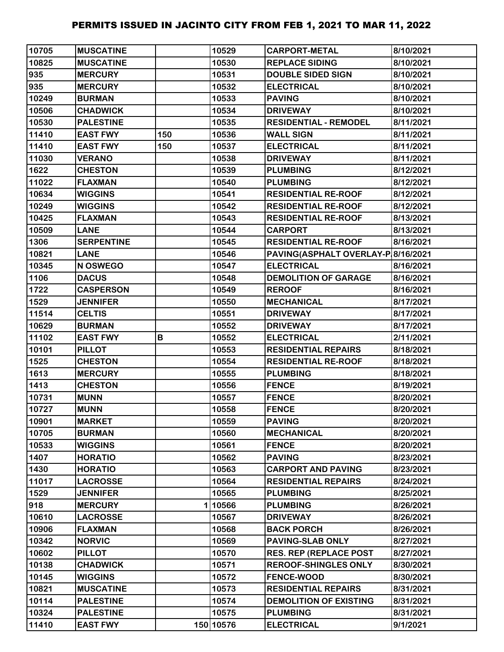| 10705 | <b>MUSCATINE</b>  |     | 10529     | <b>CARPORT-METAL</b>               | 8/10/2021 |
|-------|-------------------|-----|-----------|------------------------------------|-----------|
| 10825 | <b>MUSCATINE</b>  |     | 10530     | <b>REPLACE SIDING</b>              | 8/10/2021 |
| 935   | <b>MERCURY</b>    |     | 10531     | <b>DOUBLE SIDED SIGN</b>           | 8/10/2021 |
| 935   | <b>MERCURY</b>    |     | 10532     | <b>ELECTRICAL</b>                  | 8/10/2021 |
| 10249 | <b>BURMAN</b>     |     | 10533     | <b>PAVING</b>                      | 8/10/2021 |
| 10506 | <b>CHADWICK</b>   |     | 10534     | <b>DRIVEWAY</b>                    | 8/10/2021 |
| 10530 | <b>PALESTINE</b>  |     | 10535     | <b>RESIDENTIAL - REMODEL</b>       | 8/11/2021 |
| 11410 | <b>EAST FWY</b>   | 150 | 10536     | <b>WALL SIGN</b>                   | 8/11/2021 |
| 11410 | <b>EAST FWY</b>   | 150 | 10537     | <b>ELECTRICAL</b>                  | 8/11/2021 |
| 11030 | <b>VERANO</b>     |     | 10538     | <b>DRIVEWAY</b>                    | 8/11/2021 |
| 1622  | <b>CHESTON</b>    |     | 10539     | <b>PLUMBING</b>                    | 8/12/2021 |
| 11022 | <b>FLAXMAN</b>    |     | 10540     | <b>PLUMBING</b>                    | 8/12/2021 |
| 10634 | <b>WIGGINS</b>    |     | 10541     | <b>RESIDENTIAL RE-ROOF</b>         | 8/12/2021 |
| 10249 | <b>WIGGINS</b>    |     | 10542     | <b>RESIDENTIAL RE-ROOF</b>         | 8/12/2021 |
| 10425 | <b>FLAXMAN</b>    |     | 10543     | <b>RESIDENTIAL RE-ROOF</b>         | 8/13/2021 |
| 10509 | <b>LANE</b>       |     | 10544     | <b>CARPORT</b>                     | 8/13/2021 |
| 1306  | <b>SERPENTINE</b> |     | 10545     | <b>RESIDENTIAL RE-ROOF</b>         | 8/16/2021 |
| 10821 | <b>LANE</b>       |     | 10546     | PAVING(ASPHALT OVERLAY-P 8/16/2021 |           |
| 10345 | N OSWEGO          |     | 10547     | <b>ELECTRICAL</b>                  | 8/16/2021 |
| 1106  | <b>DACUS</b>      |     | 10548     | <b>DEMOLITION OF GARAGE</b>        | 8/16/2021 |
| 1722  | <b>CASPERSON</b>  |     | 10549     | <b>REROOF</b>                      | 8/16/2021 |
| 1529  | <b>JENNIFER</b>   |     | 10550     | <b>MECHANICAL</b>                  | 8/17/2021 |
| 11514 | <b>CELTIS</b>     |     | 10551     | <b>DRIVEWAY</b>                    | 8/17/2021 |
| 10629 | <b>BURMAN</b>     |     | 10552     | <b>DRIVEWAY</b>                    | 8/17/2021 |
| 11102 | <b>EAST FWY</b>   | В   | 10552     | <b>ELECTRICAL</b>                  | 2/11/2021 |
| 10101 | <b>PILLOT</b>     |     | 10553     | <b>RESIDENTIAL REPAIRS</b>         | 8/18/2021 |
| 1525  | <b>CHESTON</b>    |     | 10554     | <b>RESIDENTIAL RE-ROOF</b>         | 8/18/2021 |
| 1613  | <b>MERCURY</b>    |     | 10555     | <b>PLUMBING</b>                    | 8/18/2021 |
| 1413  | <b>CHESTON</b>    |     | 10556     | <b>FENCE</b>                       | 8/19/2021 |
| 10731 | <b>MUNN</b>       |     | 10557     | <b>FENCE</b>                       | 8/20/2021 |
| 10727 | <b>MUNN</b>       |     | 10558     | <b>FENCE</b>                       | 8/20/2021 |
| 10901 | <b>MARKET</b>     |     | 10559     | <b>PAVING</b>                      | 8/20/2021 |
| 10705 | <b>BURMAN</b>     |     | 10560     | <b>MECHANICAL</b>                  | 8/20/2021 |
| 10533 | <b>WIGGINS</b>    |     | 10561     | <b>FENCE</b>                       | 8/20/2021 |
| 1407  | <b>HORATIO</b>    |     | 10562     | <b>PAVING</b>                      | 8/23/2021 |
| 1430  | <b>HORATIO</b>    |     | 10563     | <b>CARPORT AND PAVING</b>          | 8/23/2021 |
| 11017 | <b>LACROSSE</b>   |     | 10564     | <b>RESIDENTIAL REPAIRS</b>         | 8/24/2021 |
| 1529  | <b>JENNIFER</b>   |     | 10565     | <b>PLUMBING</b>                    | 8/25/2021 |
| 918   | <b>MERCURY</b>    |     | 110566    | <b>PLUMBING</b>                    | 8/26/2021 |
| 10610 | <b>LACROSSE</b>   |     | 10567     | <b>DRIVEWAY</b>                    | 8/26/2021 |
| 10906 | <b>FLAXMAN</b>    |     | 10568     | <b>BACK PORCH</b>                  | 8/26/2021 |
| 10342 | <b>NORVIC</b>     |     | 10569     | <b>PAVING-SLAB ONLY</b>            | 8/27/2021 |
| 10602 | <b>PILLOT</b>     |     | 10570     | <b>RES. REP (REPLACE POST</b>      | 8/27/2021 |
| 10138 | <b>CHADWICK</b>   |     | 10571     | <b>REROOF-SHINGLES ONLY</b>        | 8/30/2021 |
| 10145 | <b>WIGGINS</b>    |     | 10572     | <b>FENCE-WOOD</b>                  | 8/30/2021 |
| 10821 | <b>MUSCATINE</b>  |     | 10573     | <b>RESIDENTIAL REPAIRS</b>         | 8/31/2021 |
| 10114 | <b>PALESTINE</b>  |     | 10574     | <b>DEMOLITION OF EXISTING</b>      | 8/31/2021 |
| 10324 | <b>PALESTINE</b>  |     | 10575     | <b>PLUMBING</b>                    | 8/31/2021 |
| 11410 | <b>EAST FWY</b>   |     | 150 10576 | <b>ELECTRICAL</b>                  | 9/1/2021  |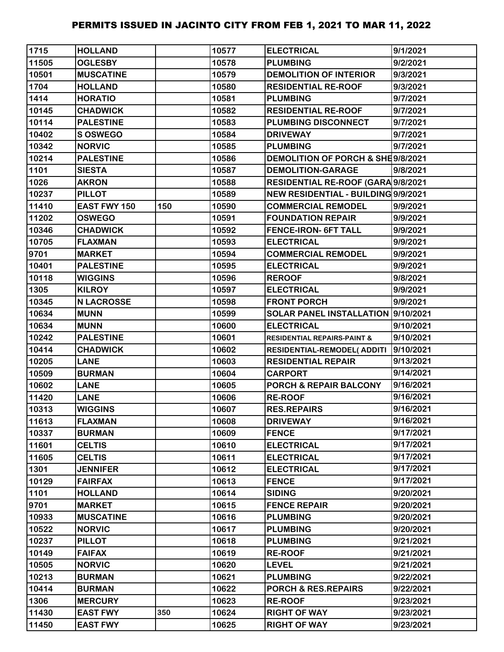| 1715  | <b>HOLLAND</b>    |     | 10577 | <b>ELECTRICAL</b>                      | 9/1/2021  |
|-------|-------------------|-----|-------|----------------------------------------|-----------|
| 11505 | <b>OGLESBY</b>    |     | 10578 | <b>PLUMBING</b>                        | 9/2/2021  |
| 10501 | <b>MUSCATINE</b>  |     | 10579 | <b>DEMOLITION OF INTERIOR</b>          | 9/3/2021  |
| 1704  | <b>HOLLAND</b>    |     | 10580 | <b>RESIDENTIAL RE-ROOF</b>             | 9/3/2021  |
| 1414  | <b>HORATIO</b>    |     | 10581 | <b>PLUMBING</b>                        | 9/7/2021  |
| 10145 | <b>CHADWICK</b>   |     | 10582 | <b>RESIDENTIAL RE-ROOF</b>             | 9/7/2021  |
| 10114 | <b>PALESTINE</b>  |     | 10583 | PLUMBING DISCONNECT                    | 9/7/2021  |
| 10402 | S OSWEGO          |     | 10584 | <b>DRIVEWAY</b>                        | 9/7/2021  |
| 10342 | <b>NORVIC</b>     |     | 10585 | <b>PLUMBING</b>                        | 9/7/2021  |
| 10214 | <b>PALESTINE</b>  |     | 10586 | DEMOLITION OF PORCH & SHE9/8/2021      |           |
| 1101  | <b>SIESTA</b>     |     | 10587 | <b>DEMOLITION-GARAGE</b>               | 9/8/2021  |
| 1026  | <b>AKRON</b>      |     | 10588 | RESIDENTIAL RE-ROOF (GARA 9/8/2021     |           |
| 10237 | <b>PILLOT</b>     |     | 10589 | NEW RESIDENTIAL - BUILDING 9/9/2021    |           |
| 11410 | EAST FWY 150      | 150 | 10590 | <b>COMMERCIAL REMODEL</b>              | 9/9/2021  |
| 11202 | <b>OSWEGO</b>     |     | 10591 | <b>FOUNDATION REPAIR</b>               | 9/9/2021  |
| 10346 | <b>CHADWICK</b>   |     | 10592 | <b>FENCE-IRON- 6FT TALL</b>            | 9/9/2021  |
| 10705 | <b>FLAXMAN</b>    |     | 10593 | <b>ELECTRICAL</b>                      | 9/9/2021  |
| 9701  | <b>MARKET</b>     |     | 10594 | <b>COMMERCIAL REMODEL</b>              | 9/9/2021  |
| 10401 | <b>PALESTINE</b>  |     | 10595 | <b>ELECTRICAL</b>                      | 9/9/2021  |
| 10118 | <b>WIGGINS</b>    |     | 10596 | <b>REROOF</b>                          | 9/8/2021  |
| 1305  | <b>KILROY</b>     |     | 10597 | <b>ELECTRICAL</b>                      | 9/9/2021  |
| 10345 | <b>N LACROSSE</b> |     | 10598 | <b>FRONT PORCH</b>                     | 9/9/2021  |
| 10634 | <b>MUNN</b>       |     | 10599 | SOLAR PANEL INSTALLATION 9/10/2021     |           |
| 10634 | <b>MUNN</b>       |     | 10600 | <b>ELECTRICAL</b>                      | 9/10/2021 |
| 10242 | <b>PALESTINE</b>  |     | 10601 | <b>RESIDENTIAL REPAIRS-PAINT &amp;</b> | 9/10/2021 |
| 10414 | <b>CHADWICK</b>   |     | 10602 | <b>RESIDENTIAL-REMODEL( ADDITI</b>     | 9/10/2021 |
| 10205 | <b>LANE</b>       |     | 10603 | <b>RESIDENTIAL REPAIR</b>              | 9/13/2021 |
| 10509 | <b>BURMAN</b>     |     | 10604 | <b>CARPORT</b>                         | 9/14/2021 |
| 10602 | <b>LANE</b>       |     | 10605 | <b>PORCH &amp; REPAIR BALCONY</b>      | 9/16/2021 |
| 11420 | <b>LANE</b>       |     | 10606 | <b>RE-ROOF</b>                         | 9/16/2021 |
| 10313 | <b>WIGGINS</b>    |     | 10607 | <b>RES.REPAIRS</b>                     | 9/16/2021 |
| 11613 | <b>FLAXMAN</b>    |     | 10608 | <b>DRIVEWAY</b>                        | 9/16/2021 |
| 10337 | <b>BURMAN</b>     |     | 10609 | <b>FENCE</b>                           | 9/17/2021 |
| 11601 | <b>CELTIS</b>     |     | 10610 | <b>ELECTRICAL</b>                      | 9/17/2021 |
| 11605 | <b>CELTIS</b>     |     | 10611 | <b>ELECTRICAL</b>                      | 9/17/2021 |
| 1301  | <b>JENNIFER</b>   |     | 10612 | <b>ELECTRICAL</b>                      | 9/17/2021 |
| 10129 | <b>FAIRFAX</b>    |     | 10613 | <b>FENCE</b>                           | 9/17/2021 |
| 1101  | <b>HOLLAND</b>    |     | 10614 | <b>SIDING</b>                          | 9/20/2021 |
| 9701  | <b>MARKET</b>     |     | 10615 | <b>FENCE REPAIR</b>                    | 9/20/2021 |
| 10933 | <b>MUSCATINE</b>  |     | 10616 | <b>PLUMBING</b>                        | 9/20/2021 |
| 10522 | <b>NORVIC</b>     |     | 10617 | <b>PLUMBING</b>                        | 9/20/2021 |
| 10237 | <b>PILLOT</b>     |     | 10618 | <b>PLUMBING</b>                        | 9/21/2021 |
| 10149 | <b>FAIFAX</b>     |     | 10619 | <b>RE-ROOF</b>                         | 9/21/2021 |
| 10505 | <b>NORVIC</b>     |     | 10620 | <b>LEVEL</b>                           | 9/21/2021 |
| 10213 | <b>BURMAN</b>     |     | 10621 | <b>PLUMBING</b>                        | 9/22/2021 |
| 10414 | <b>BURMAN</b>     |     | 10622 | PORCH & RES.REPAIRS                    | 9/22/2021 |
| 1306  | <b>MERCURY</b>    |     | 10623 | <b>RE-ROOF</b>                         | 9/23/2021 |
| 11430 | <b>EAST FWY</b>   | 350 | 10624 | <b>RIGHT OF WAY</b>                    | 9/23/2021 |
| 11450 | <b>EAST FWY</b>   |     | 10625 | <b>RIGHT OF WAY</b>                    | 9/23/2021 |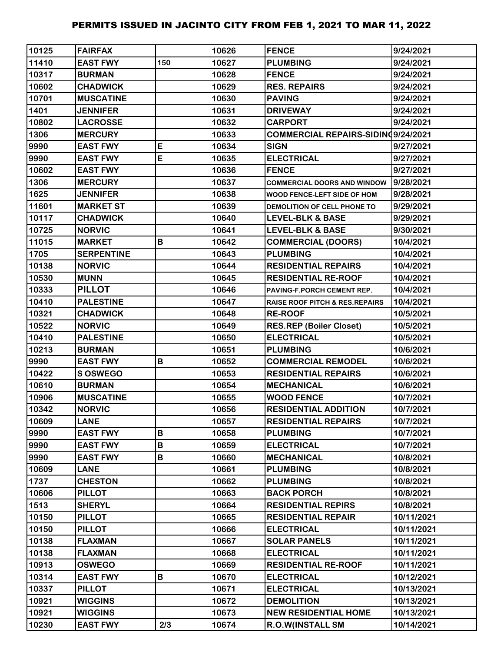| 10125 | <b>FAIRFAX</b>    |     | 10626 | <b>FENCE</b>                       | 9/24/2021  |
|-------|-------------------|-----|-------|------------------------------------|------------|
| 11410 | <b>EAST FWY</b>   | 150 | 10627 | <b>PLUMBING</b>                    | 9/24/2021  |
| 10317 | <b>BURMAN</b>     |     | 10628 | <b>FENCE</b>                       | 9/24/2021  |
| 10602 | <b>CHADWICK</b>   |     | 10629 | <b>RES. REPAIRS</b>                | 9/24/2021  |
| 10701 | <b>MUSCATINE</b>  |     | 10630 | <b>PAVING</b>                      | 9/24/2021  |
| 1401  | <b>JENNIFER</b>   |     | 10631 | <b>DRIVEWAY</b>                    | 9/24/2021  |
| 10802 | <b>LACROSSE</b>   |     | 10632 | <b>CARPORT</b>                     | 9/24/2021  |
| 1306  | <b>MERCURY</b>    |     | 10633 | COMMERCIAL REPAIRS-SIDIND9/24/2021 |            |
| 9990  | <b>EAST FWY</b>   | E   | 10634 | <b>SIGN</b>                        | 9/27/2021  |
| 9990  | <b>EAST FWY</b>   | E   | 10635 | <b>ELECTRICAL</b>                  | 9/27/2021  |
| 10602 | <b>EAST FWY</b>   |     | 10636 | <b>FENCE</b>                       | 9/27/2021  |
| 1306  | <b>MERCURY</b>    |     | 10637 | <b>COMMERCIAL DOORS AND WINDOW</b> | 9/28/2021  |
| 1625  | <b>JENNIFER</b>   |     | 10638 | WOOD FENCE-LEFT SIDE OF HOM        | 9/28/2021  |
| 11601 | <b>MARKET ST</b>  |     | 10639 | DEMOLITION OF CELL PHONE TO        | 9/29/2021  |
| 10117 | <b>CHADWICK</b>   |     | 10640 | <b>LEVEL-BLK &amp; BASE</b>        | 9/29/2021  |
| 10725 | <b>NORVIC</b>     |     | 10641 | <b>LEVEL-BLK &amp; BASE</b>        | 9/30/2021  |
| 11015 | <b>MARKET</b>     | B   | 10642 | <b>COMMERCIAL (DOORS)</b>          | 10/4/2021  |
| 1705  | <b>SERPENTINE</b> |     | 10643 | <b>PLUMBING</b>                    | 10/4/2021  |
| 10138 | <b>NORVIC</b>     |     | 10644 | <b>RESIDENTIAL REPAIRS</b>         | 10/4/2021  |
| 10530 | <b>MUNN</b>       |     | 10645 | <b>RESIDENTIAL RE-ROOF</b>         | 10/4/2021  |
| 10333 | <b>PILLOT</b>     |     | 10646 | PAVING-F.PORCH CEMENT REP.         | 10/4/2021  |
| 10410 | <b>PALESTINE</b>  |     | 10647 | RAISE ROOF PITCH & RES.REPAIRS     | 10/4/2021  |
| 10321 | <b>CHADWICK</b>   |     | 10648 | <b>RE-ROOF</b>                     | 10/5/2021  |
| 10522 | <b>NORVIC</b>     |     | 10649 | <b>RES.REP (Boiler Closet)</b>     | 10/5/2021  |
| 10410 | <b>PALESTINE</b>  |     | 10650 | <b>ELECTRICAL</b>                  | 10/5/2021  |
| 10213 | <b>BURMAN</b>     |     | 10651 | <b>PLUMBING</b>                    | 10/6/2021  |
| 9990  | <b>EAST FWY</b>   | B   | 10652 | <b>COMMERCIAL REMODEL</b>          | 10/6/2021  |
| 10422 | <b>SOSWEGO</b>    |     | 10653 | <b>RESIDENTIAL REPAIRS</b>         | 10/6/2021  |
| 10610 | <b>BURMAN</b>     |     | 10654 | <b>MECHANICAL</b>                  | 10/6/2021  |
| 10906 | <b>MUSCATINE</b>  |     | 10655 | <b>WOOD FENCE</b>                  | 10/7/2021  |
| 10342 | <b>NORVIC</b>     |     | 10656 | <b>RESIDENTIAL ADDITION</b>        | 10/7/2021  |
| 10609 | <b>LANE</b>       |     | 10657 | <b>RESIDENTIAL REPAIRS</b>         | 10/7/2021  |
| 9990  | <b>EAST FWY</b>   | B   | 10658 | <b>PLUMBING</b>                    | 10/7/2021  |
| 9990  | <b>EAST FWY</b>   | В   | 10659 | <b>ELECTRICAL</b>                  | 10/7/2021  |
| 9990  | <b>EAST FWY</b>   | B   | 10660 | <b>MECHANICAL</b>                  | 10/8/2021  |
| 10609 | <b>LANE</b>       |     | 10661 | <b>PLUMBING</b>                    | 10/8/2021  |
| 1737  | <b>CHESTON</b>    |     | 10662 | <b>PLUMBING</b>                    | 10/8/2021  |
| 10606 | <b>PILLOT</b>     |     | 10663 | <b>BACK PORCH</b>                  | 10/8/2021  |
| 1513  | <b>SHERYL</b>     |     | 10664 | <b>RESIDENTIAL REPIRS</b>          | 10/8/2021  |
| 10150 | <b>PILLOT</b>     |     | 10665 | <b>RESIDENTIAL REPAIR</b>          | 10/11/2021 |
| 10150 | <b>PILLOT</b>     |     | 10666 | <b>ELECTRICAL</b>                  | 10/11/2021 |
| 10138 | <b>FLAXMAN</b>    |     | 10667 | <b>SOLAR PANELS</b>                | 10/11/2021 |
| 10138 | <b>FLAXMAN</b>    |     | 10668 | <b>ELECTRICAL</b>                  | 10/11/2021 |
| 10913 | <b>OSWEGO</b>     |     | 10669 | <b>RESIDENTIAL RE-ROOF</b>         | 10/11/2021 |
| 10314 | <b>EAST FWY</b>   | В   | 10670 | <b>ELECTRICAL</b>                  | 10/12/2021 |
| 10337 | <b>PILLOT</b>     |     | 10671 | <b>ELECTRICAL</b>                  | 10/13/2021 |
| 10921 | <b>WIGGINS</b>    |     | 10672 | <b>DEMOLITION</b>                  | 10/13/2021 |
| 10921 | <b>WIGGINS</b>    |     | 10673 | <b>NEW RESIDENTIAL HOME</b>        | 10/13/2021 |
| 10230 | <b>EAST FWY</b>   | 2/3 | 10674 | <b>R.O.W(INSTALL SM</b>            | 10/14/2021 |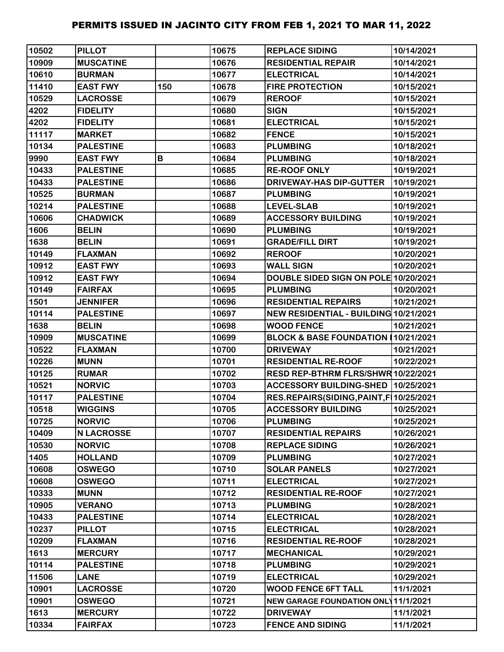| 10502 | <b>PILLOT</b>     |     | 10675 | <b>REPLACE SIDING</b>                      | 10/14/2021 |
|-------|-------------------|-----|-------|--------------------------------------------|------------|
| 10909 | <b>MUSCATINE</b>  |     | 10676 | <b>RESIDENTIAL REPAIR</b>                  | 10/14/2021 |
| 10610 | <b>BURMAN</b>     |     | 10677 | <b>ELECTRICAL</b>                          | 10/14/2021 |
| 11410 | <b>EAST FWY</b>   | 150 | 10678 | <b>FIRE PROTECTION</b>                     | 10/15/2021 |
| 10529 | <b>LACROSSE</b>   |     | 10679 | <b>REROOF</b>                              | 10/15/2021 |
| 4202  | <b>FIDELITY</b>   |     | 10680 | <b>SIGN</b>                                | 10/15/2021 |
| 4202  | <b>FIDELITY</b>   |     | 10681 | <b>ELECTRICAL</b>                          | 10/15/2021 |
| 11117 | <b>MARKET</b>     |     | 10682 | <b>FENCE</b>                               | 10/15/2021 |
| 10134 | <b>PALESTINE</b>  |     | 10683 | <b>PLUMBING</b>                            | 10/18/2021 |
| 9990  | <b>EAST FWY</b>   | В   | 10684 | <b>PLUMBING</b>                            | 10/18/2021 |
| 10433 | <b>PALESTINE</b>  |     | 10685 | <b>RE-ROOF ONLY</b>                        | 10/19/2021 |
| 10433 | <b>PALESTINE</b>  |     | 10686 | DRIVEWAY-HAS DIP-GUTTER                    | 10/19/2021 |
| 10525 | <b>BURMAN</b>     |     | 10687 | <b>PLUMBING</b>                            | 10/19/2021 |
| 10214 | <b>PALESTINE</b>  |     | 10688 | <b>LEVEL-SLAB</b>                          | 10/19/2021 |
| 10606 | <b>CHADWICK</b>   |     | 10689 | <b>ACCESSORY BUILDING</b>                  | 10/19/2021 |
| 1606  | <b>BELIN</b>      |     | 10690 | <b>PLUMBING</b>                            | 10/19/2021 |
| 1638  | <b>BELIN</b>      |     | 10691 | <b>GRADE/FILL DIRT</b>                     | 10/19/2021 |
| 10149 | <b>FLAXMAN</b>    |     | 10692 | <b>REROOF</b>                              | 10/20/2021 |
| 10912 | <b>EAST FWY</b>   |     | 10693 | <b>WALL SIGN</b>                           | 10/20/2021 |
| 10912 | <b>EAST FWY</b>   |     | 10694 | DOUBLE SIDED SIGN ON POLE 10/20/2021       |            |
| 10149 | <b>FAIRFAX</b>    |     | 10695 | <b>PLUMBING</b>                            | 10/20/2021 |
| 1501  | <b>JENNIFER</b>   |     | 10696 | <b>RESIDENTIAL REPAIRS</b>                 | 10/21/2021 |
| 10114 | <b>PALESTINE</b>  |     | 10697 | NEW RESIDENTIAL - BUILDING 10/21/2021      |            |
| 1638  | <b>BELIN</b>      |     | 10698 | <b>WOOD FENCE</b>                          | 10/21/2021 |
| 10909 | <b>MUSCATINE</b>  |     | 10699 | BLOCK & BASE FOUNDATION 10/21/2021         |            |
| 10522 | <b>FLAXMAN</b>    |     | 10700 | <b>DRIVEWAY</b>                            | 10/21/2021 |
| 10226 | <b>MUNN</b>       |     | 10701 | <b>RESIDENTIAL RE-ROOF</b>                 | 10/22/2021 |
| 10125 | <b>RUMAR</b>      |     | 10702 | RESD REP-BTHRM FLRS/SHWR 10/22/2021        |            |
| 10521 | <b>NORVIC</b>     |     | 10703 | ACCESSORY BUILDING-SHED 10/25/2021         |            |
| 10117 | <b>PALESTINE</b>  |     | 10704 | RES.REPAIRS(SIDING, PAINT, F   10/25/2021  |            |
| 10518 | <b>WIGGINS</b>    |     | 10705 | <b>ACCESSORY BUILDING</b>                  | 10/25/2021 |
| 10725 | <b>NORVIC</b>     |     | 10706 | <b>PLUMBING</b>                            | 10/25/2021 |
| 10409 | <b>N LACROSSE</b> |     | 10707 | <b>RESIDENTIAL REPAIRS</b>                 | 10/26/2021 |
| 10530 | <b>NORVIC</b>     |     | 10708 | <b>REPLACE SIDING</b>                      | 10/26/2021 |
| 1405  | <b>HOLLAND</b>    |     | 10709 | <b>PLUMBING</b>                            | 10/27/2021 |
| 10608 | <b>OSWEGO</b>     |     | 10710 | <b>SOLAR PANELS</b>                        | 10/27/2021 |
| 10608 | <b>OSWEGO</b>     |     | 10711 | <b>ELECTRICAL</b>                          | 10/27/2021 |
| 10333 | <b>MUNN</b>       |     | 10712 | <b>RESIDENTIAL RE-ROOF</b>                 | 10/27/2021 |
| 10905 | <b>VERANO</b>     |     | 10713 | <b>PLUMBING</b>                            | 10/28/2021 |
| 10433 | <b>PALESTINE</b>  |     | 10714 | <b>ELECTRICAL</b>                          | 10/28/2021 |
| 10237 | <b>PILLOT</b>     |     | 10715 | <b>ELECTRICAL</b>                          | 10/28/2021 |
| 10209 | <b>FLAXMAN</b>    |     | 10716 | <b>RESIDENTIAL RE-ROOF</b>                 | 10/28/2021 |
| 1613  | <b>MERCURY</b>    |     | 10717 | <b>MECHANICAL</b>                          | 10/29/2021 |
| 10114 | <b>PALESTINE</b>  |     | 10718 | <b>PLUMBING</b>                            | 10/29/2021 |
| 11506 | <b>LANE</b>       |     | 10719 | <b>ELECTRICAL</b>                          | 10/29/2021 |
| 10901 | <b>LACROSSE</b>   |     | 10720 | <b>WOOD FENCE 6FT TALL</b>                 | 11/1/2021  |
| 10901 | <b>OSWEGO</b>     |     | 10721 | <b>NEW GARAGE FOUNDATION ONL 11/1/2021</b> |            |
| 1613  | <b>MERCURY</b>    |     | 10722 | <b>DRIVEWAY</b>                            | 11/1/2021  |
| 10334 | <b>FAIRFAX</b>    |     | 10723 | <b>FENCE AND SIDING</b>                    | 11/1/2021  |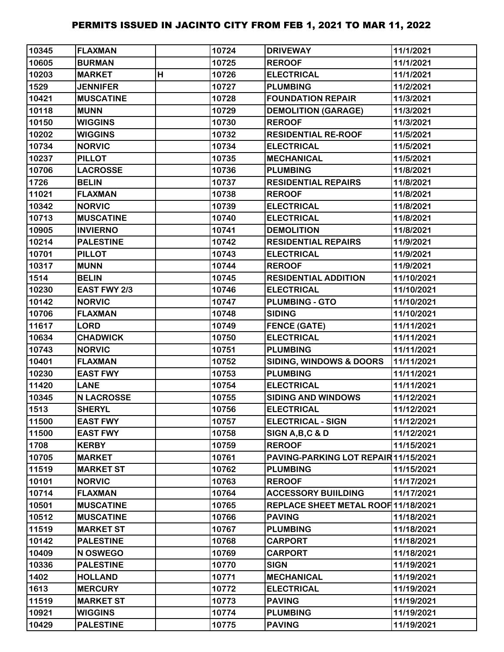| 10345 | <b>FLAXMAN</b>    |   | 10724 | <b>DRIVEWAY</b>                      | 11/1/2021  |
|-------|-------------------|---|-------|--------------------------------------|------------|
| 10605 | <b>BURMAN</b>     |   | 10725 | <b>REROOF</b>                        | 11/1/2021  |
| 10203 | <b>MARKET</b>     | н | 10726 | <b>ELECTRICAL</b>                    | 11/1/2021  |
| 1529  | <b>JENNIFER</b>   |   | 10727 | <b>PLUMBING</b>                      | 11/2/2021  |
| 10421 | <b>MUSCATINE</b>  |   | 10728 | <b>FOUNDATION REPAIR</b>             | 11/3/2021  |
| 10118 | <b>MUNN</b>       |   | 10729 | <b>DEMOLITION (GARAGE)</b>           | 11/3/2021  |
| 10150 | <b>WIGGINS</b>    |   | 10730 | <b>REROOF</b>                        | 11/3/2021  |
| 10202 | <b>WIGGINS</b>    |   | 10732 | <b>RESIDENTIAL RE-ROOF</b>           | 11/5/2021  |
| 10734 | <b>NORVIC</b>     |   | 10734 | <b>ELECTRICAL</b>                    | 11/5/2021  |
| 10237 | <b>PILLOT</b>     |   | 10735 | <b>MECHANICAL</b>                    | 11/5/2021  |
| 10706 | <b>LACROSSE</b>   |   | 10736 | <b>PLUMBING</b>                      | 11/8/2021  |
| 1726  | <b>BELIN</b>      |   | 10737 | <b>RESIDENTIAL REPAIRS</b>           | 11/8/2021  |
| 11021 | <b>FLAXMAN</b>    |   | 10738 | <b>REROOF</b>                        | 11/8/2021  |
| 10342 | <b>NORVIC</b>     |   | 10739 | <b>ELECTRICAL</b>                    | 11/8/2021  |
| 10713 | <b>MUSCATINE</b>  |   | 10740 | <b>ELECTRICAL</b>                    | 11/8/2021  |
| 10905 | <b>INVIERNO</b>   |   | 10741 | <b>DEMOLITION</b>                    | 11/8/2021  |
| 10214 | <b>PALESTINE</b>  |   | 10742 | <b>RESIDENTIAL REPAIRS</b>           | 11/9/2021  |
| 10701 | <b>PILLOT</b>     |   | 10743 | <b>ELECTRICAL</b>                    | 11/9/2021  |
| 10317 | <b>MUNN</b>       |   | 10744 | <b>REROOF</b>                        | 11/9/2021  |
| 1514  | <b>BELIN</b>      |   | 10745 | <b>RESIDENTIAL ADDITION</b>          | 11/10/2021 |
| 10230 | EAST FWY 2/3      |   | 10746 | <b>ELECTRICAL</b>                    | 11/10/2021 |
| 10142 | <b>NORVIC</b>     |   | 10747 | <b>PLUMBING - GTO</b>                | 11/10/2021 |
| 10706 | <b>FLAXMAN</b>    |   | 10748 | <b>SIDING</b>                        | 11/10/2021 |
| 11617 | <b>LORD</b>       |   | 10749 | <b>FENCE (GATE)</b>                  | 11/11/2021 |
| 10634 | <b>CHADWICK</b>   |   | 10750 | <b>ELECTRICAL</b>                    | 11/11/2021 |
| 10743 | <b>NORVIC</b>     |   | 10751 | <b>PLUMBING</b>                      | 11/11/2021 |
| 10401 | <b>FLAXMAN</b>    |   | 10752 | SIDING, WINDOWS & DOORS              | 11/11/2021 |
| 10230 | <b>EAST FWY</b>   |   | 10753 | <b>PLUMBING</b>                      | 11/11/2021 |
| 11420 | <b>LANE</b>       |   | 10754 | <b>ELECTRICAL</b>                    | 11/11/2021 |
| 10345 | <b>N LACROSSE</b> |   | 10755 | <b>SIDING AND WINDOWS</b>            | 11/12/2021 |
| 1513  | <b>SHERYL</b>     |   | 10756 | <b>ELECTRICAL</b>                    | 11/12/2021 |
| 11500 | <b>EAST FWY</b>   |   | 10757 | <b>ELECTRICAL - SIGN</b>             | 11/12/2021 |
| 11500 | <b>EAST FWY</b>   |   | 10758 | SIGN A, B, C & D                     | 11/12/2021 |
| 1708  | <b>KERBY</b>      |   | 10759 | <b>REROOF</b>                        | 11/15/2021 |
| 10705 | <b>MARKET</b>     |   | 10761 | PAVING-PARKING LOT REPAIR 11/15/2021 |            |
| 11519 | <b>MARKET ST</b>  |   | 10762 | <b>PLUMBING</b>                      | 11/15/2021 |
| 10101 | <b>NORVIC</b>     |   | 10763 | <b>REROOF</b>                        | 11/17/2021 |
| 10714 | <b>FLAXMAN</b>    |   | 10764 | <b>ACCESSORY BUILDING</b>            | 11/17/2021 |
| 10501 | <b>MUSCATINE</b>  |   | 10765 | REPLACE SHEET METAL ROOF 11/18/2021  |            |
| 10512 | <b>MUSCATINE</b>  |   | 10766 | <b>PAVING</b>                        | 11/18/2021 |
| 11519 | <b>MARKET ST</b>  |   | 10767 | <b>PLUMBING</b>                      | 11/18/2021 |
| 10142 | <b>PALESTINE</b>  |   | 10768 | <b>CARPORT</b>                       | 11/18/2021 |
| 10409 | N OSWEGO          |   | 10769 | <b>CARPORT</b>                       | 11/18/2021 |
| 10336 | <b>PALESTINE</b>  |   | 10770 | <b>SIGN</b>                          | 11/19/2021 |
| 1402  | <b>HOLLAND</b>    |   | 10771 | <b>MECHANICAL</b>                    | 11/19/2021 |
| 1613  | <b>MERCURY</b>    |   | 10772 | <b>ELECTRICAL</b>                    | 11/19/2021 |
| 11519 | <b>MARKET ST</b>  |   | 10773 | <b>PAVING</b>                        | 11/19/2021 |
| 10921 | <b>WIGGINS</b>    |   | 10774 | <b>PLUMBING</b>                      | 11/19/2021 |
| 10429 | <b>PALESTINE</b>  |   | 10775 | <b>PAVING</b>                        | 11/19/2021 |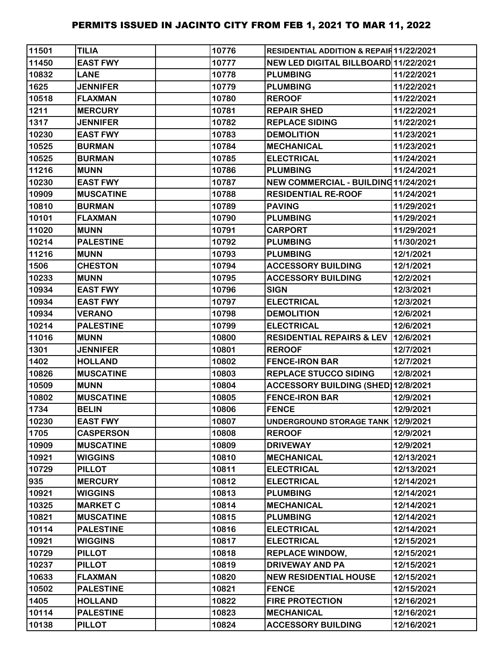| 11501 | <b>TILIA</b>     | 10776 | <b>RESIDENTIAL ADDITION &amp; REPAIR11/22/2021</b> |            |
|-------|------------------|-------|----------------------------------------------------|------------|
| 11450 | <b>EAST FWY</b>  | 10777 | NEW LED DIGITAL BILLBOARD 11/22/2021               |            |
| 10832 | <b>LANE</b>      | 10778 | <b>PLUMBING</b>                                    | 11/22/2021 |
| 1625  | <b>JENNIFER</b>  | 10779 | <b>PLUMBING</b>                                    | 11/22/2021 |
| 10518 | <b>FLAXMAN</b>   | 10780 | <b>REROOF</b>                                      | 11/22/2021 |
| 1211  | <b>MERCURY</b>   | 10781 | <b>REPAIR SHED</b>                                 | 11/22/2021 |
| 1317  | <b>JENNIFER</b>  | 10782 | <b>REPLACE SIDING</b>                              | 11/22/2021 |
| 10230 | <b>EAST FWY</b>  | 10783 | <b>DEMOLITION</b>                                  | 11/23/2021 |
| 10525 | <b>BURMAN</b>    | 10784 | <b>MECHANICAL</b>                                  | 11/23/2021 |
| 10525 | <b>BURMAN</b>    | 10785 | <b>ELECTRICAL</b>                                  | 11/24/2021 |
| 11216 | <b>MUNN</b>      | 10786 | <b>PLUMBING</b>                                    | 11/24/2021 |
| 10230 | <b>EAST FWY</b>  | 10787 | NEW COMMERCIAL - BUILDING 11/24/2021               |            |
| 10909 | <b>MUSCATINE</b> | 10788 | <b>RESIDENTIAL RE-ROOF</b>                         | 11/24/2021 |
| 10810 | <b>BURMAN</b>    | 10789 | <b>PAVING</b>                                      | 11/29/2021 |
| 10101 | <b>FLAXMAN</b>   | 10790 | <b>PLUMBING</b>                                    | 11/29/2021 |
| 11020 | <b>MUNN</b>      | 10791 | <b>CARPORT</b>                                     | 11/29/2021 |
| 10214 | <b>PALESTINE</b> | 10792 | <b>PLUMBING</b>                                    | 11/30/2021 |
| 11216 | <b>MUNN</b>      | 10793 | <b>PLUMBING</b>                                    | 12/1/2021  |
| 1506  | <b>CHESTON</b>   | 10794 | <b>ACCESSORY BUILDING</b>                          | 12/1/2021  |
| 10233 | <b>MUNN</b>      | 10795 | <b>ACCESSORY BUILDING</b>                          | 12/2/2021  |
| 10934 | <b>EAST FWY</b>  | 10796 | <b>SIGN</b>                                        | 12/3/2021  |
| 10934 | <b>EAST FWY</b>  | 10797 | <b>ELECTRICAL</b>                                  | 12/3/2021  |
| 10934 | <b>VERANO</b>    | 10798 | <b>DEMOLITION</b>                                  | 12/6/2021  |
| 10214 | <b>PALESTINE</b> | 10799 | <b>ELECTRICAL</b>                                  | 12/6/2021  |
| 11016 | <b>MUNN</b>      | 10800 | RESIDENTIAL REPAIRS & LEV 12/6/2021                |            |
| 1301  | <b>JENNIFER</b>  | 10801 | <b>REROOF</b>                                      | 12/7/2021  |
| 1402  | <b>HOLLAND</b>   | 10802 | <b>FENCE-IRON BAR</b>                              | 12/7/2021  |
| 10826 | <b>MUSCATINE</b> | 10803 | <b>REPLACE STUCCO SIDING</b>                       | 12/8/2021  |
| 10509 | <b>MUNN</b>      | 10804 | ACCESSORY BUILDING (SHED) 12/8/2021                |            |
| 10802 | <b>MUSCATINE</b> | 10805 | <b>FENCE-IRON BAR</b>                              | 12/9/2021  |
| 1734  | <b>BELIN</b>     | 10806 | <b>FENCE</b>                                       | 12/9/2021  |
| 10230 | <b>EAST FWY</b>  | 10807 | UNDERGROUND STORAGE TANK 12/9/2021                 |            |
| 1705  | <b>CASPERSON</b> | 10808 | <b>REROOF</b>                                      | 12/9/2021  |
| 10909 | <b>MUSCATINE</b> | 10809 | <b>DRIVEWAY</b>                                    | 12/9/2021  |
| 10921 | <b>WIGGINS</b>   | 10810 | <b>MECHANICAL</b>                                  | 12/13/2021 |
| 10729 | <b>PILLOT</b>    | 10811 | <b>ELECTRICAL</b>                                  | 12/13/2021 |
| 935   | <b>MERCURY</b>   | 10812 | <b>ELECTRICAL</b>                                  | 12/14/2021 |
| 10921 | <b>WIGGINS</b>   | 10813 | <b>PLUMBING</b>                                    | 12/14/2021 |
| 10325 | <b>MARKET C</b>  | 10814 | <b>MECHANICAL</b>                                  | 12/14/2021 |
| 10821 | <b>MUSCATINE</b> | 10815 | <b>PLUMBING</b>                                    | 12/14/2021 |
| 10114 | <b>PALESTINE</b> | 10816 | <b>ELECTRICAL</b>                                  | 12/14/2021 |
| 10921 | <b>WIGGINS</b>   | 10817 | <b>ELECTRICAL</b>                                  | 12/15/2021 |
| 10729 | <b>PILLOT</b>    | 10818 | <b>REPLACE WINDOW,</b>                             | 12/15/2021 |
| 10237 | <b>PILLOT</b>    | 10819 | <b>DRIVEWAY AND PA</b>                             | 12/15/2021 |
| 10633 | <b>FLAXMAN</b>   | 10820 | <b>NEW RESIDENTIAL HOUSE</b>                       | 12/15/2021 |
| 10502 | <b>PALESTINE</b> | 10821 | <b>FENCE</b>                                       | 12/15/2021 |
| 1405  | <b>HOLLAND</b>   | 10822 | <b>FIRE PROTECTION</b>                             | 12/16/2021 |
| 10114 | <b>PALESTINE</b> | 10823 | <b>MECHANICAL</b>                                  | 12/16/2021 |
| 10138 | <b>PILLOT</b>    | 10824 | <b>ACCESSORY BUILDING</b>                          | 12/16/2021 |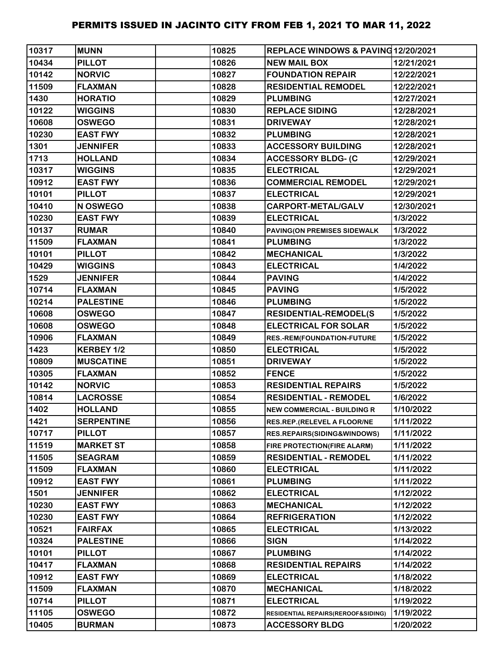| 10317 | <b>MUNN</b>       | 10825 | REPLACE WINDOWS & PAVING12/20/2021 |            |
|-------|-------------------|-------|------------------------------------|------------|
| 10434 | <b>PILLOT</b>     | 10826 | <b>NEW MAIL BOX</b>                | 12/21/2021 |
| 10142 | <b>NORVIC</b>     | 10827 | <b>FOUNDATION REPAIR</b>           | 12/22/2021 |
| 11509 | <b>FLAXMAN</b>    | 10828 | <b>RESIDENTIAL REMODEL</b>         | 12/22/2021 |
| 1430  | <b>HORATIO</b>    | 10829 | <b>PLUMBING</b>                    | 12/27/2021 |
| 10122 | <b>WIGGINS</b>    | 10830 | <b>REPLACE SIDING</b>              | 12/28/2021 |
| 10608 | <b>OSWEGO</b>     | 10831 | <b>DRIVEWAY</b>                    | 12/28/2021 |
| 10230 | <b>EAST FWY</b>   | 10832 | <b>PLUMBING</b>                    | 12/28/2021 |
| 1301  | <b>JENNIFER</b>   | 10833 | <b>ACCESSORY BUILDING</b>          | 12/28/2021 |
| 1713  | <b>HOLLAND</b>    | 10834 | <b>ACCESSORY BLDG- (C</b>          | 12/29/2021 |
| 10317 | <b>WIGGINS</b>    | 10835 | <b>ELECTRICAL</b>                  | 12/29/2021 |
| 10912 | <b>EAST FWY</b>   | 10836 | <b>COMMERCIAL REMODEL</b>          | 12/29/2021 |
| 10101 | <b>PILLOT</b>     | 10837 | <b>ELECTRICAL</b>                  | 12/29/2021 |
| 10410 | N OSWEGO          | 10838 | <b>CARPORT-METAL/GALV</b>          | 12/30/2021 |
| 10230 | <b>EAST FWY</b>   | 10839 | <b>ELECTRICAL</b>                  | 1/3/2022   |
| 10137 | <b>RUMAR</b>      | 10840 | PAVING(ON PREMISES SIDEWALK        | 1/3/2022   |
| 11509 | <b>FLAXMAN</b>    | 10841 | <b>PLUMBING</b>                    | 1/3/2022   |
| 10101 | <b>PILLOT</b>     | 10842 | <b>MECHANICAL</b>                  | 1/3/2022   |
| 10429 | <b>WIGGINS</b>    | 10843 | <b>ELECTRICAL</b>                  | 1/4/2022   |
| 1529  | <b>JENNIFER</b>   | 10844 | <b>PAVING</b>                      | 1/4/2022   |
| 10714 | <b>FLAXMAN</b>    | 10845 | <b>PAVING</b>                      | 1/5/2022   |
| 10214 | <b>PALESTINE</b>  | 10846 | <b>PLUMBING</b>                    | 1/5/2022   |
| 10608 | <b>OSWEGO</b>     | 10847 | <b>RESIDENTIAL-REMODEL(S</b>       | 1/5/2022   |
| 10608 | <b>OSWEGO</b>     | 10848 | <b>ELECTRICAL FOR SOLAR</b>        | 1/5/2022   |
| 10906 | <b>FLAXMAN</b>    | 10849 | RES.-REM(FOUNDATION-FUTURE         | 1/5/2022   |
| 1423  | KERBEY 1/2        | 10850 | <b>ELECTRICAL</b>                  | 1/5/2022   |
| 10809 | <b>MUSCATINE</b>  | 10851 | <b>DRIVEWAY</b>                    | 1/5/2022   |
| 10305 | <b>FLAXMAN</b>    | 10852 | <b>FENCE</b>                       | 1/5/2022   |
| 10142 | <b>NORVIC</b>     | 10853 | <b>RESIDENTIAL REPAIRS</b>         | 1/5/2022   |
| 10814 | <b>LACROSSE</b>   | 10854 | <b>RESIDENTIAL - REMODEL</b>       | 1/6/2022   |
| 1402  | <b>HOLLAND</b>    | 10855 | <b>NEW COMMERCIAL - BUILDING R</b> | 1/10/2022  |
| 1421  | <b>SERPENTINE</b> | 10856 | RES.REP.(RELEVEL A FLOOR/NE        | 1/11/2022  |
| 10717 | <b>PILLOT</b>     | 10857 | RES.REPAIRS(SIDING&WINDOWS)        | 1/11/2022  |
| 11519 | <b>MARKET ST</b>  | 10858 | FIRE PROTECTION(FIRE ALARM)        | 1/11/2022  |
| 11505 | <b>SEAGRAM</b>    | 10859 | <b>RESIDENTIAL - REMODEL</b>       | 1/11/2022  |
| 11509 | <b>FLAXMAN</b>    | 10860 | <b>ELECTRICAL</b>                  | 1/11/2022  |
| 10912 | <b>EAST FWY</b>   | 10861 | <b>PLUMBING</b>                    | 1/11/2022  |
| 1501  | <b>JENNIFER</b>   | 10862 | <b>ELECTRICAL</b>                  | 1/12/2022  |
| 10230 | <b>EAST FWY</b>   | 10863 | <b>MECHANICAL</b>                  | 1/12/2022  |
| 10230 | <b>EAST FWY</b>   | 10864 | <b>REFRIGERATION</b>               | 1/12/2022  |
| 10521 | <b>FAIRFAX</b>    | 10865 | <b>ELECTRICAL</b>                  | 1/13/2022  |
| 10324 | <b>PALESTINE</b>  | 10866 | <b>SIGN</b>                        | 1/14/2022  |
| 10101 | <b>PILLOT</b>     | 10867 | <b>PLUMBING</b>                    | 1/14/2022  |
| 10417 | <b>FLAXMAN</b>    | 10868 | <b>RESIDENTIAL REPAIRS</b>         | 1/14/2022  |
| 10912 | <b>EAST FWY</b>   | 10869 | <b>ELECTRICAL</b>                  | 1/18/2022  |
| 11509 | <b>FLAXMAN</b>    | 10870 | <b>MECHANICAL</b>                  | 1/18/2022  |
| 10714 | <b>PILLOT</b>     | 10871 | <b>ELECTRICAL</b>                  | 1/19/2022  |
| 11105 | <b>OSWEGO</b>     | 10872 | RESIDENTIAL REPAIRS(REROOF&SIDING) | 1/19/2022  |
| 10405 | <b>BURMAN</b>     | 10873 | <b>ACCESSORY BLDG</b>              | 1/20/2022  |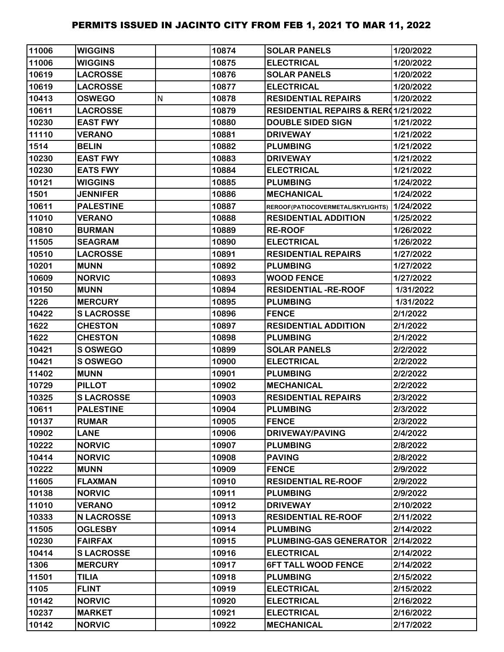| 11006 | <b>WIGGINS</b>    |   | 10874 | <b>SOLAR PANELS</b>                            | 1/20/2022 |
|-------|-------------------|---|-------|------------------------------------------------|-----------|
| 11006 | <b>WIGGINS</b>    |   | 10875 | <b>ELECTRICAL</b>                              | 1/20/2022 |
| 10619 | <b>LACROSSE</b>   |   | 10876 | <b>SOLAR PANELS</b>                            | 1/20/2022 |
| 10619 | <b>LACROSSE</b>   |   | 10877 | <b>ELECTRICAL</b>                              | 1/20/2022 |
| 10413 | <b>OSWEGO</b>     | N | 10878 | <b>RESIDENTIAL REPAIRS</b>                     | 1/20/2022 |
| 10611 | <b>LACROSSE</b>   |   | 10879 | <b>RESIDENTIAL REPAIRS &amp; RER01/21/2022</b> |           |
| 10230 | <b>EAST FWY</b>   |   | 10880 | <b>DOUBLE SIDED SIGN</b>                       | 1/21/2022 |
| 11110 | <b>VERANO</b>     |   | 10881 | <b>DRIVEWAY</b>                                | 1/21/2022 |
| 1514  | <b>BELIN</b>      |   | 10882 | <b>PLUMBING</b>                                | 1/21/2022 |
| 10230 | <b>EAST FWY</b>   |   | 10883 | <b>DRIVEWAY</b>                                | 1/21/2022 |
| 10230 | <b>EATS FWY</b>   |   | 10884 | <b>ELECTRICAL</b>                              | 1/21/2022 |
| 10121 | <b>WIGGINS</b>    |   | 10885 | <b>PLUMBING</b>                                | 1/24/2022 |
| 1501  | <b>JENNIFER</b>   |   | 10886 | <b>MECHANICAL</b>                              | 1/24/2022 |
| 10611 | <b>PALESTINE</b>  |   | 10887 | REROOF(PATIOCOVERMETAL/SKYLIGHTS)              | 1/24/2022 |
| 11010 | <b>VERANO</b>     |   | 10888 | <b>RESIDENTIAL ADDITION</b>                    | 1/25/2022 |
| 10810 | <b>BURMAN</b>     |   | 10889 | <b>RE-ROOF</b>                                 | 1/26/2022 |
| 11505 | <b>SEAGRAM</b>    |   | 10890 | <b>ELECTRICAL</b>                              | 1/26/2022 |
| 10510 | <b>LACROSSE</b>   |   | 10891 | <b>RESIDENTIAL REPAIRS</b>                     | 1/27/2022 |
| 10201 | <b>MUNN</b>       |   | 10892 | <b>PLUMBING</b>                                | 1/27/2022 |
| 10609 | <b>NORVIC</b>     |   | 10893 | <b>WOOD FENCE</b>                              | 1/27/2022 |
| 10150 | <b>MUNN</b>       |   | 10894 | <b>RESIDENTIAL -RE-ROOF</b>                    | 1/31/2022 |
| 1226  | <b>MERCURY</b>    |   | 10895 | <b>PLUMBING</b>                                | 1/31/2022 |
| 10422 | <b>SLACROSSE</b>  |   | 10896 | <b>FENCE</b>                                   | 2/1/2022  |
| 1622  | <b>CHESTON</b>    |   | 10897 | <b>RESIDENTIAL ADDITION</b>                    | 2/1/2022  |
| 1622  | <b>CHESTON</b>    |   | 10898 | <b>PLUMBING</b>                                | 2/1/2022  |
| 10421 | S OSWEGO          |   | 10899 | <b>SOLAR PANELS</b>                            | 2/2/2022  |
| 10421 | S OSWEGO          |   | 10900 | <b>ELECTRICAL</b>                              | 2/2/2022  |
| 11402 | <b>MUNN</b>       |   | 10901 | <b>PLUMBING</b>                                | 2/2/2022  |
| 10729 | <b>PILLOT</b>     |   | 10902 | <b>MECHANICAL</b>                              | 2/2/2022  |
| 10325 | <b>SLACROSSE</b>  |   | 10903 | <b>RESIDENTIAL REPAIRS</b>                     | 2/3/2022  |
| 10611 | <b>PALESTINE</b>  |   | 10904 | <b>PLUMBING</b>                                | 2/3/2022  |
| 10137 | <b>RUMAR</b>      |   | 10905 | <b>FENCE</b>                                   | 2/3/2022  |
| 10902 | <b>LANE</b>       |   | 10906 | <b>DRIVEWAY/PAVING</b>                         | 2/4/2022  |
| 10222 | <b>NORVIC</b>     |   | 10907 | <b>PLUMBING</b>                                | 2/8/2022  |
| 10414 | <b>NORVIC</b>     |   | 10908 | <b>PAVING</b>                                  | 2/8/2022  |
| 10222 | <b>MUNN</b>       |   | 10909 | <b>FENCE</b>                                   | 2/9/2022  |
| 11605 | <b>FLAXMAN</b>    |   | 10910 | <b>RESIDENTIAL RE-ROOF</b>                     | 2/9/2022  |
| 10138 | <b>NORVIC</b>     |   | 10911 | <b>PLUMBING</b>                                | 2/9/2022  |
| 11010 | <b>VERANO</b>     |   | 10912 | <b>DRIVEWAY</b>                                | 2/10/2022 |
| 10333 | <b>N LACROSSE</b> |   | 10913 | <b>RESIDENTIAL RE-ROOF</b>                     | 2/11/2022 |
| 11505 | <b>OGLESBY</b>    |   | 10914 | <b>PLUMBING</b>                                | 2/14/2022 |
| 10230 | <b>FAIRFAX</b>    |   | 10915 | PLUMBING-GAS GENERATOR                         | 2/14/2022 |
| 10414 | <b>SLACROSSE</b>  |   | 10916 | <b>ELECTRICAL</b>                              | 2/14/2022 |
| 1306  | <b>MERCURY</b>    |   | 10917 | <b>6FT TALL WOOD FENCE</b>                     | 2/14/2022 |
| 11501 | <b>TILIA</b>      |   | 10918 | <b>PLUMBING</b>                                | 2/15/2022 |
| 1105  | <b>FLINT</b>      |   | 10919 | <b>ELECTRICAL</b>                              | 2/15/2022 |
| 10142 | <b>NORVIC</b>     |   | 10920 | <b>ELECTRICAL</b>                              | 2/16/2022 |
| 10237 | <b>MARKET</b>     |   | 10921 | <b>ELECTRICAL</b>                              | 2/16/2022 |
| 10142 | <b>NORVIC</b>     |   | 10922 | <b>MECHANICAL</b>                              | 2/17/2022 |